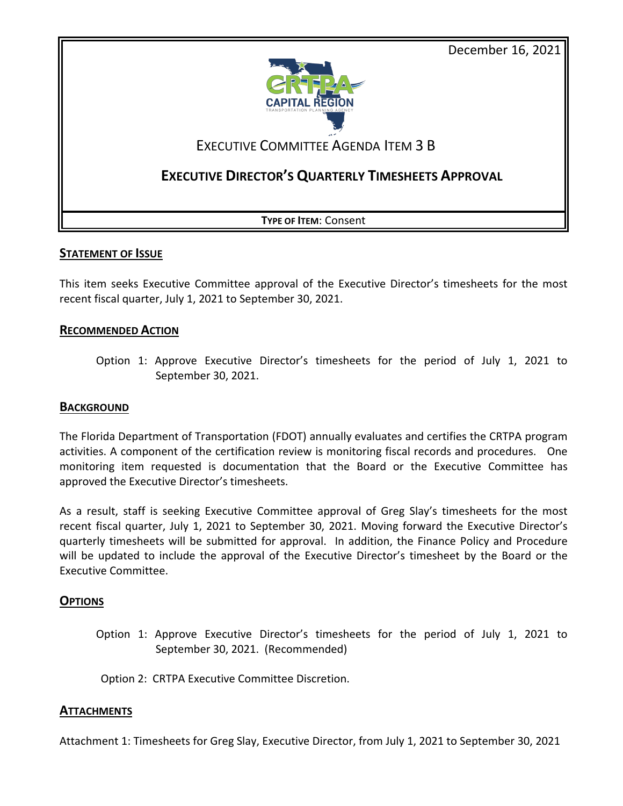December 16, 2021



### EXECUTIVE COMMITTEE AGENDA ITEM 3 B

### **EXECUTIVE DIRECTOR'S QUARTERLY TIMESHEETS APPROVAL**

**TYPE OF ITEM**: Consent

### **STATEMENT OF ISSUE**

This item seeks Executive Committee approval of the Executive Director's timesheets for the most recent fiscal quarter, July 1, 2021 to September 30, 2021.

### **RECOMMENDED ACTION**

Option 1: Approve Executive Director's timesheets for the period of July 1, 2021 to September 30, 2021.

### **BACKGROUND**

The Florida Department of Transportation (FDOT) annually evaluates and certifies the CRTPA program activities. A component of the certification review is monitoring fiscal records and procedures. One monitoring item requested is documentation that the Board or the Executive Committee has approved the Executive Director's timesheets.

As a result, staff is seeking Executive Committee approval of Greg Slay's timesheets for the most recent fiscal quarter, July 1, 2021 to September 30, 2021. Moving forward the Executive Director's quarterly timesheets will be submitted for approval. In addition, the Finance Policy and Procedure will be updated to include the approval of the Executive Director's timesheet by the Board or the Executive Committee.

### **OPTIONS**

Option 1: Approve Executive Director's timesheets for the period of July 1, 2021 to September 30, 2021. (Recommended)

Option 2: CRTPA Executive Committee Discretion.

### **ATTACHMENTS**

Attachment 1: Timesheets for Greg Slay, Executive Director, from July 1, 2021 to September 30, 2021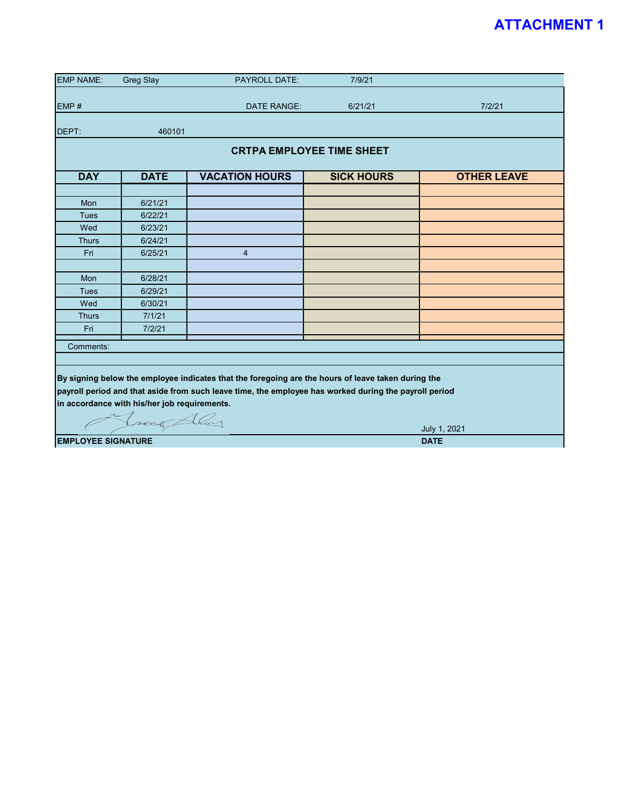### **ATTACHMENT 1**

| <b>EMP NAME:</b>                 | <b>Greg Slay</b>                             | <b>PAYROLL DATE:</b>                                                                                  | 7/9/21            |                    |  |  |  |  |  |  |  |  |
|----------------------------------|----------------------------------------------|-------------------------------------------------------------------------------------------------------|-------------------|--------------------|--|--|--|--|--|--|--|--|
|                                  |                                              |                                                                                                       |                   |                    |  |  |  |  |  |  |  |  |
| EMP#                             |                                              | DATE RANGE:                                                                                           | 6/21/21           | 7/2/21             |  |  |  |  |  |  |  |  |
| DEPT:                            | 460101                                       |                                                                                                       |                   |                    |  |  |  |  |  |  |  |  |
|                                  |                                              |                                                                                                       |                   |                    |  |  |  |  |  |  |  |  |
| <b>CRTPA EMPLOYEE TIME SHEET</b> |                                              |                                                                                                       |                   |                    |  |  |  |  |  |  |  |  |
| <b>DAY</b>                       | <b>DATE</b>                                  | <b>VACATION HOURS</b>                                                                                 | <b>SICK HOURS</b> | <b>OTHER LEAVE</b> |  |  |  |  |  |  |  |  |
|                                  |                                              |                                                                                                       |                   |                    |  |  |  |  |  |  |  |  |
| Mon                              | 6/21/21                                      |                                                                                                       |                   |                    |  |  |  |  |  |  |  |  |
| <b>Tues</b>                      | 6/22/21                                      |                                                                                                       |                   |                    |  |  |  |  |  |  |  |  |
| Wed                              | 6/23/21                                      |                                                                                                       |                   |                    |  |  |  |  |  |  |  |  |
| <b>Thurs</b>                     | 6/24/21                                      |                                                                                                       |                   |                    |  |  |  |  |  |  |  |  |
| Fri                              | 6/25/21                                      | $\overline{4}$                                                                                        |                   |                    |  |  |  |  |  |  |  |  |
|                                  |                                              |                                                                                                       |                   |                    |  |  |  |  |  |  |  |  |
| Mon                              | 6/28/21                                      |                                                                                                       |                   |                    |  |  |  |  |  |  |  |  |
| <b>Tues</b>                      | 6/29/21                                      |                                                                                                       |                   |                    |  |  |  |  |  |  |  |  |
| Wed                              | 6/30/21                                      |                                                                                                       |                   |                    |  |  |  |  |  |  |  |  |
| <b>Thurs</b>                     | 7/1/21                                       |                                                                                                       |                   |                    |  |  |  |  |  |  |  |  |
| Fri                              | 7/2/21                                       |                                                                                                       |                   |                    |  |  |  |  |  |  |  |  |
| Comments:                        |                                              |                                                                                                       |                   |                    |  |  |  |  |  |  |  |  |
|                                  |                                              |                                                                                                       |                   |                    |  |  |  |  |  |  |  |  |
|                                  |                                              | By signing below the employee indicates that the foregoing are the hours of leave taken during the    |                   |                    |  |  |  |  |  |  |  |  |
|                                  |                                              | payroll period and that aside from such leave time, the employee has worked during the payroll period |                   |                    |  |  |  |  |  |  |  |  |
|                                  | in accordance with his/her job requirements. |                                                                                                       |                   |                    |  |  |  |  |  |  |  |  |
|                                  |                                              |                                                                                                       |                   |                    |  |  |  |  |  |  |  |  |
|                                  | Leage Aley                                   |                                                                                                       |                   | July 1, 2021       |  |  |  |  |  |  |  |  |
| <b>EMPLOYEE SIGNATURE</b>        |                                              |                                                                                                       |                   | <b>DATE</b>        |  |  |  |  |  |  |  |  |
|                                  |                                              |                                                                                                       |                   |                    |  |  |  |  |  |  |  |  |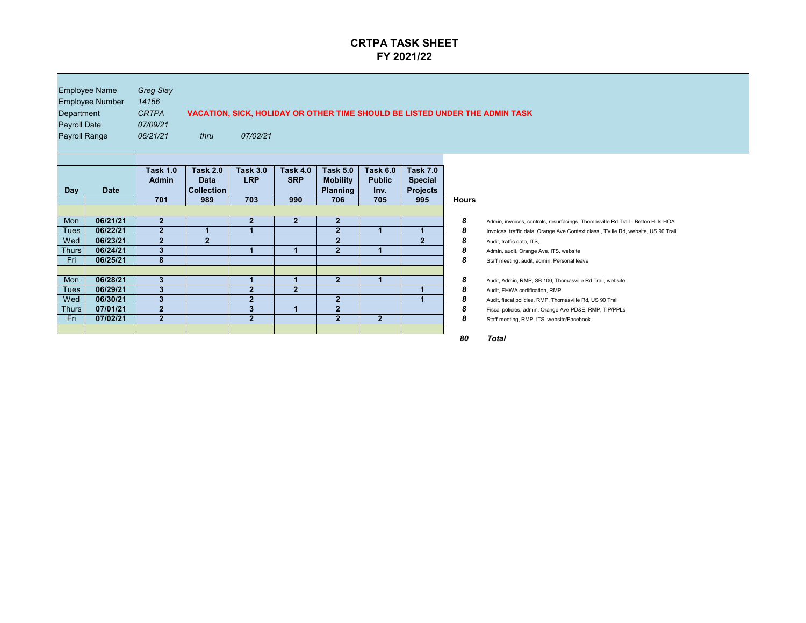| Department<br><b>Payroll Date</b><br><b>Payroll Range</b> | <b>Employee Name</b><br><b>Employee Number</b> | <b>Greg Slay</b><br>14156<br><b>CRTPA</b><br>07/09/21<br>06/21/21 | <b>VACATION, SICK, HOLIDAY OR OTHER TIME SHOULD BE LISTED UNDER THE ADMIN TASK</b><br>07/02/21<br>thru |                               |                               |                                                       |                                          |                                                      |              |                                                                                                                                                                         |  |
|-----------------------------------------------------------|------------------------------------------------|-------------------------------------------------------------------|--------------------------------------------------------------------------------------------------------|-------------------------------|-------------------------------|-------------------------------------------------------|------------------------------------------|------------------------------------------------------|--------------|-------------------------------------------------------------------------------------------------------------------------------------------------------------------------|--|
| <b>Day</b>                                                | <b>Date</b>                                    | <b>Task 1.0</b><br><b>Admin</b>                                   | <b>Task 2.0</b><br><b>Data</b><br>Collection                                                           | <b>Task 3.0</b><br><b>LRP</b> | <b>Task 4.0</b><br><b>SRP</b> | <b>Task 5.0</b><br><b>Mobility</b><br><b>Planning</b> | <b>Task 6.0</b><br><b>Public</b><br>Inv. | <b>Task 7.0</b><br><b>Special</b><br><b>Projects</b> |              |                                                                                                                                                                         |  |
|                                                           |                                                | 701                                                               | 989                                                                                                    | 703                           | 990                           | 706                                                   | 705                                      | 995                                                  | <b>Hours</b> |                                                                                                                                                                         |  |
| Mon                                                       | 06/21/21                                       | $\overline{2}$                                                    |                                                                                                        | 2 <sub>2</sub>                | $\mathbf{2}$                  | $\mathbf{2}$                                          |                                          |                                                      | 8            |                                                                                                                                                                         |  |
| <b>Tues</b>                                               | 06/22/21                                       | $\overline{2}$                                                    |                                                                                                        |                               |                               | 2 <sup>1</sup>                                        |                                          |                                                      | 8            | Admin, invoices, controls, resurfacings, Thomasville Rd Trail - Betton Hills HOA<br>Invoices, traffic data, Orange Ave Context class., T'ville Rd, website, US 90 Trail |  |
| Wed                                                       | 06/23/21                                       | $\overline{2}$                                                    | $\overline{2}$                                                                                         |                               |                               | 2 <sup>2</sup>                                        |                                          | $\overline{2}$                                       | 8            | Audit, traffic data, ITS,                                                                                                                                               |  |
| <b>Thurs</b>                                              | 06/24/21                                       | $3\overline{3}$                                                   |                                                                                                        |                               |                               | $\overline{2}$                                        |                                          |                                                      | 8            | Admin, audit, Orange Ave, ITS, website                                                                                                                                  |  |
| Fri                                                       | 06/25/21                                       | 8                                                                 |                                                                                                        |                               |                               |                                                       |                                          |                                                      | 8            | Staff meeting, audit, admin, Personal leave                                                                                                                             |  |
|                                                           |                                                |                                                                   |                                                                                                        |                               |                               |                                                       |                                          |                                                      |              |                                                                                                                                                                         |  |
| Mon                                                       | 06/28/21                                       | 3                                                                 |                                                                                                        |                               |                               | 2 <sub>2</sub>                                        |                                          |                                                      | 8            | Audit, Admin, RMP, SB 100, Thomasville Rd Trail, website                                                                                                                |  |
| <b>Tues</b>                                               | 06/29/21                                       | 3                                                                 |                                                                                                        | $\overline{2}$                | $\overline{2}$                |                                                       |                                          |                                                      | 8            | Audit, FHWA certification, RMP                                                                                                                                          |  |
| Wed                                                       | 06/30/21                                       | $\bf{3}$                                                          |                                                                                                        | $\mathbf{2}$                  |                               | $\overline{2}$                                        |                                          |                                                      | 8            | Audit, fiscal policies, RMP, Thomasville Rd, US 90 Trail                                                                                                                |  |
| <b>Thurs</b>                                              | 07/01/21                                       | $\overline{2}$                                                    |                                                                                                        | $3\phantom{a}$                |                               | 2 <sup>1</sup>                                        |                                          |                                                      | 8            | Fiscal policies, admin, Orange Ave PD&E, RMP, TIP/PPLs                                                                                                                  |  |
| Fri                                                       | 07/02/21                                       | 2 <sup>2</sup>                                                    |                                                                                                        | 2 <sup>1</sup>                |                               | 2 <sup>1</sup>                                        | 2 <sup>1</sup>                           |                                                      | 8            | Staff meeting, RMP, ITS, website/Facebook                                                                                                                               |  |
|                                                           |                                                |                                                                   |                                                                                                        |                               |                               |                                                       |                                          |                                                      |              |                                                                                                                                                                         |  |
|                                                           |                                                |                                                                   |                                                                                                        |                               |                               |                                                       |                                          |                                                      | 80           | <b>Total</b>                                                                                                                                                            |  |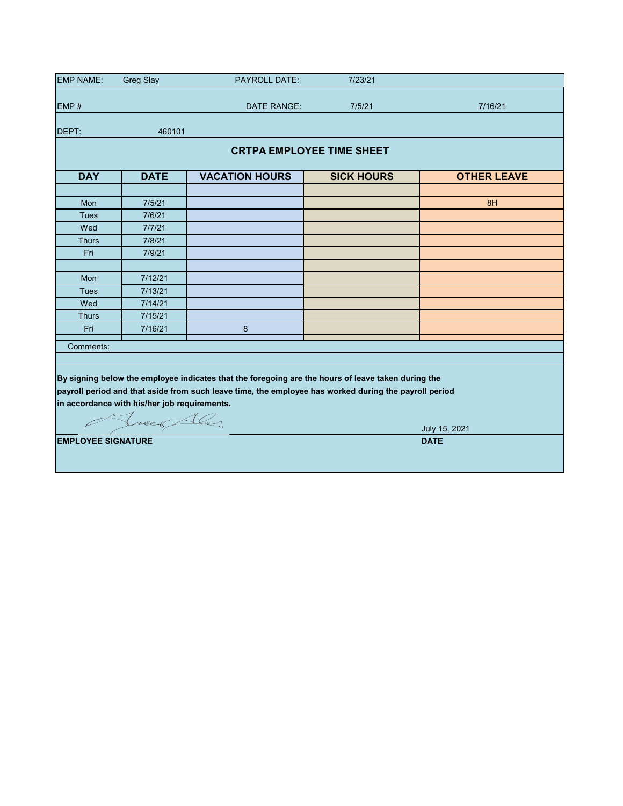| <b>EMP NAME:</b>                                                                                                                                                                                                                                                          | <b>Greg Slay</b>          | <b>PAYROLL DATE:</b> | 7/23/21            |                              |  |  |  |  |  |  |  |  |
|---------------------------------------------------------------------------------------------------------------------------------------------------------------------------------------------------------------------------------------------------------------------------|---------------------------|----------------------|--------------------|------------------------------|--|--|--|--|--|--|--|--|
|                                                                                                                                                                                                                                                                           |                           |                      |                    |                              |  |  |  |  |  |  |  |  |
| EMP#                                                                                                                                                                                                                                                                      |                           | <b>DATE RANGE:</b>   | 7/5/21             | 7/16/21                      |  |  |  |  |  |  |  |  |
| DEPT:                                                                                                                                                                                                                                                                     | 460101                    |                      |                    |                              |  |  |  |  |  |  |  |  |
| <b>CRTPA EMPLOYEE TIME SHEET</b>                                                                                                                                                                                                                                          |                           |                      |                    |                              |  |  |  |  |  |  |  |  |
| <b>DAY</b>                                                                                                                                                                                                                                                                | <b>DATE</b>               | <b>SICK HOURS</b>    | <b>OTHER LEAVE</b> |                              |  |  |  |  |  |  |  |  |
|                                                                                                                                                                                                                                                                           |                           |                      |                    |                              |  |  |  |  |  |  |  |  |
| Mon                                                                                                                                                                                                                                                                       | 7/5/21                    |                      |                    | 8H                           |  |  |  |  |  |  |  |  |
| <b>Tues</b>                                                                                                                                                                                                                                                               | 7/6/21                    |                      |                    |                              |  |  |  |  |  |  |  |  |
| Wed                                                                                                                                                                                                                                                                       | 7/7/21                    |                      |                    |                              |  |  |  |  |  |  |  |  |
| <b>Thurs</b>                                                                                                                                                                                                                                                              | 7/8/21                    |                      |                    |                              |  |  |  |  |  |  |  |  |
| Fri                                                                                                                                                                                                                                                                       | 7/9/21                    |                      |                    |                              |  |  |  |  |  |  |  |  |
|                                                                                                                                                                                                                                                                           |                           |                      |                    |                              |  |  |  |  |  |  |  |  |
| Mon                                                                                                                                                                                                                                                                       | 7/12/21                   |                      |                    |                              |  |  |  |  |  |  |  |  |
| <b>Tues</b>                                                                                                                                                                                                                                                               | 7/13/21                   |                      |                    |                              |  |  |  |  |  |  |  |  |
| Wed                                                                                                                                                                                                                                                                       | 7/14/21                   |                      |                    |                              |  |  |  |  |  |  |  |  |
| <b>Thurs</b>                                                                                                                                                                                                                                                              | 7/15/21                   |                      |                    |                              |  |  |  |  |  |  |  |  |
| Fri                                                                                                                                                                                                                                                                       | 7/16/21                   | 8                    |                    |                              |  |  |  |  |  |  |  |  |
| Comments:                                                                                                                                                                                                                                                                 |                           |                      |                    |                              |  |  |  |  |  |  |  |  |
|                                                                                                                                                                                                                                                                           |                           |                      |                    |                              |  |  |  |  |  |  |  |  |
| By signing below the employee indicates that the foregoing are the hours of leave taken during the<br>payroll period and that aside from such leave time, the employee has worked during the payroll period<br>in accordance with his/her job requirements.<br>Jueck Aley |                           |                      |                    |                              |  |  |  |  |  |  |  |  |
|                                                                                                                                                                                                                                                                           |                           |                      |                    | July 15, 2021<br><b>DATE</b> |  |  |  |  |  |  |  |  |
|                                                                                                                                                                                                                                                                           | <b>EMPLOYEE SIGNATURE</b> |                      |                    |                              |  |  |  |  |  |  |  |  |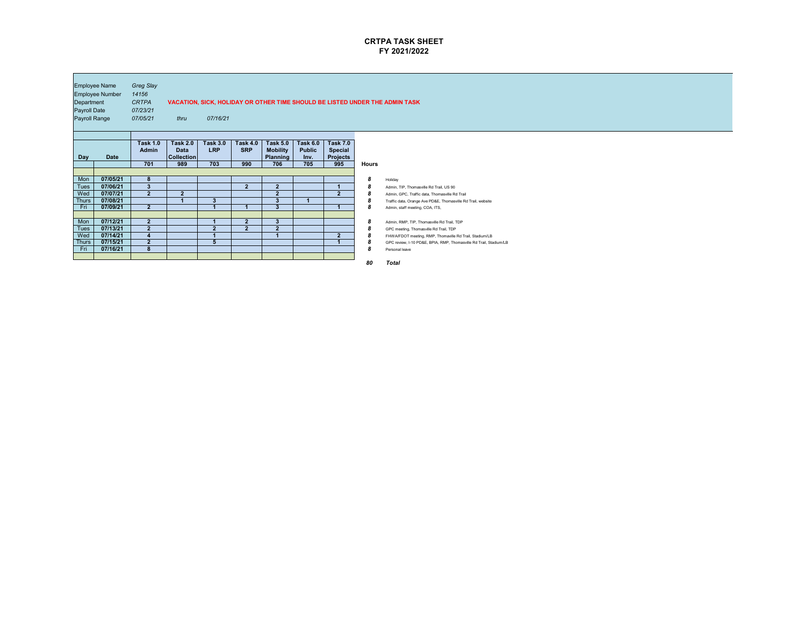

| Department<br>Payroll Date<br><b>Payroll Range</b> | <b>Employee Name</b><br>Employee Number | <b>Greg Slay</b><br>14156<br><b>CRTPA</b><br>07/23/21<br>07/05/21 | thru                                                       | 07/16/21                             |                                      |                                                              |                                                 |                                                             |                                      | VACATION, SICK, HOLIDAY OR OTHER TIME SHOULD BE LISTED UNDER THE ADMIN TASK |
|----------------------------------------------------|-----------------------------------------|-------------------------------------------------------------------|------------------------------------------------------------|--------------------------------------|--------------------------------------|--------------------------------------------------------------|-------------------------------------------------|-------------------------------------------------------------|--------------------------------------|-----------------------------------------------------------------------------|
| <b>Day</b>                                         | <b>Date</b>                             | <b>Task 1.0</b><br><b>Admin</b><br>701                            | <b>Task 2.0</b><br><b>Data</b><br><b>Collection</b><br>989 | <b>Task 3.0</b><br><b>LRP</b><br>703 | <b>Task 4.0</b><br><b>SRP</b><br>990 | <b>Task 5.0</b><br><b>Mobility</b><br><b>Planning</b><br>706 | <b>Task 6.0</b><br><b>Public</b><br>Inv.<br>705 | <b>Task 7.0</b><br><b>Special</b><br><b>Projects</b><br>995 | <b>Hours</b>                         |                                                                             |
|                                                    |                                         |                                                                   |                                                            |                                      |                                      |                                                              |                                                 |                                                             |                                      |                                                                             |
| Mon                                                | 07/05/21                                | 8 <sup>°</sup>                                                    |                                                            |                                      |                                      |                                                              |                                                 |                                                             | $\boldsymbol{8}$                     | Holiday                                                                     |
| <b>Tues</b>                                        | 07/06/21                                | $\boldsymbol{3}$                                                  |                                                            |                                      | $\overline{2}$                       | 2 <sup>2</sup>                                               |                                                 |                                                             | 8                                    | Admin, TIP, Thomasville Rd Trail, US 90                                     |
| Wed                                                | 07/07/21                                | $\overline{2}$                                                    | 2 <sup>2</sup>                                             |                                      |                                      | $\mathbf{2}$                                                 |                                                 | 2 <sup>2</sup>                                              | 8                                    | Admin, GPC, Traffic data, Thomasville Rd Trail                              |
| <b>Thurs</b>                                       | 07/08/21                                |                                                                   |                                                            | $\mathbf{3}$                         |                                      | $\mathbf{3}$                                                 |                                                 |                                                             | 8                                    | Traffic data, Orange Ave PD&E, Thomasville Rd Trail, website                |
| Fri                                                | 07/09/21                                | 2 <sup>2</sup>                                                    |                                                            |                                      |                                      | 3 <sup>°</sup>                                               |                                                 |                                                             | $\boldsymbol{8}$                     | Admin, staff meeting, COA, ITS,                                             |
|                                                    |                                         |                                                                   |                                                            |                                      |                                      |                                                              |                                                 |                                                             |                                      |                                                                             |
| Mon                                                | 07/12/21                                | $\overline{2}$                                                    |                                                            |                                      | $\overline{2}$                       | $\mathbf{3}$                                                 |                                                 |                                                             | $\boldsymbol{8}$                     | Admin, RMP, TIP, Thomasville Rd Trail, TDP                                  |
| <b>Tues</b><br>Wed                                 | 07/13/21<br>07/14/21                    | $\overline{2}$<br>$\overline{\mathbf{4}}$                         |                                                            | $\overline{2}$<br>$\overline{A}$     | $\overline{2}$                       | 2 <sub>2</sub><br>$\overline{A}$                             |                                                 | $\bullet$                                                   | 8                                    | GPC meeting, Thomasville Rd Trail, TDP                                      |
| <b>Thurs</b>                                       | 07/15/21                                | 2 <sup>2</sup>                                                    |                                                            | $5\overline{)}$                      |                                      |                                                              |                                                 | $\blacktriangle$                                            | $\boldsymbol{8}$                     | FHWA/FDOT meeting, RMP, Thomaville Rd Trail, Stadium/LB                     |
| Fri                                                | 07/16/21                                | 8 <sup>°</sup>                                                    |                                                            |                                      |                                      |                                                              |                                                 |                                                             | $\boldsymbol{8}$<br>$\boldsymbol{8}$ | GPC review, I-10 PD&E, BPIA, RMP, Thomasville Rd Trail, Stadium/LB          |
|                                                    |                                         |                                                                   |                                                            |                                      |                                      |                                                              |                                                 |                                                             |                                      | Personal leave                                                              |
|                                                    |                                         |                                                                   |                                                            |                                      |                                      |                                                              |                                                 |                                                             | 80                                   | <b>Total</b>                                                                |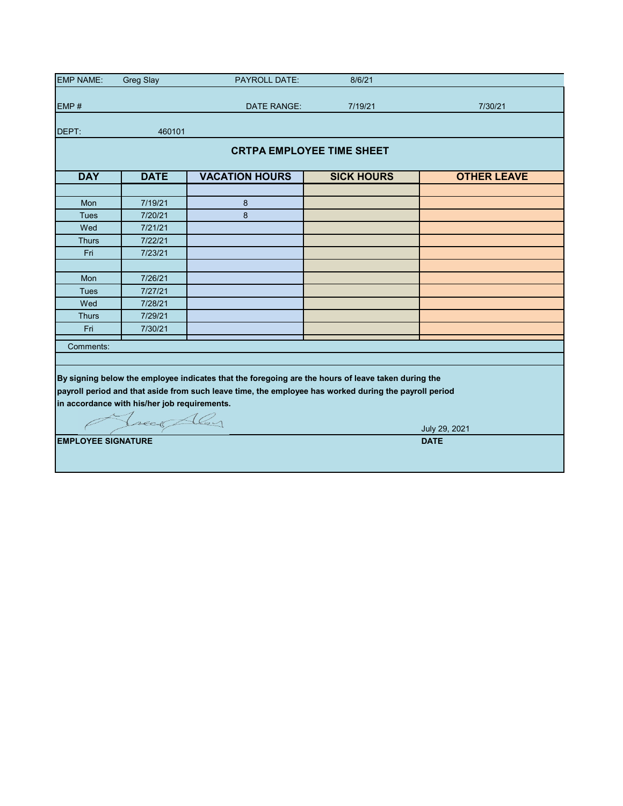| <b>EMP NAME:</b>                                                                                                                                                                                                                                                                           | <b>Greg Slay</b> | <b>PAYROLL DATE:</b>  | 8/6/21            |                    |  |  |  |  |  |  |  |
|--------------------------------------------------------------------------------------------------------------------------------------------------------------------------------------------------------------------------------------------------------------------------------------------|------------------|-----------------------|-------------------|--------------------|--|--|--|--|--|--|--|
|                                                                                                                                                                                                                                                                                            |                  |                       |                   |                    |  |  |  |  |  |  |  |
| EMP#                                                                                                                                                                                                                                                                                       |                  | <b>DATE RANGE:</b>    | 7/19/21           | 7/30/21            |  |  |  |  |  |  |  |
| DEPT:                                                                                                                                                                                                                                                                                      | 460101           |                       |                   |                    |  |  |  |  |  |  |  |
| <b>CRTPA EMPLOYEE TIME SHEET</b>                                                                                                                                                                                                                                                           |                  |                       |                   |                    |  |  |  |  |  |  |  |
| <b>DAY</b>                                                                                                                                                                                                                                                                                 | <b>DATE</b>      | <b>VACATION HOURS</b> | <b>SICK HOURS</b> | <b>OTHER LEAVE</b> |  |  |  |  |  |  |  |
|                                                                                                                                                                                                                                                                                            |                  |                       |                   |                    |  |  |  |  |  |  |  |
| Mon                                                                                                                                                                                                                                                                                        | 7/19/21          | 8                     |                   |                    |  |  |  |  |  |  |  |
| <b>Tues</b>                                                                                                                                                                                                                                                                                | 7/20/21          | 8                     |                   |                    |  |  |  |  |  |  |  |
| Wed                                                                                                                                                                                                                                                                                        | 7/21/21          |                       |                   |                    |  |  |  |  |  |  |  |
| <b>Thurs</b>                                                                                                                                                                                                                                                                               | 7/22/21          |                       |                   |                    |  |  |  |  |  |  |  |
| Fri                                                                                                                                                                                                                                                                                        | 7/23/21          |                       |                   |                    |  |  |  |  |  |  |  |
|                                                                                                                                                                                                                                                                                            |                  |                       |                   |                    |  |  |  |  |  |  |  |
| Mon                                                                                                                                                                                                                                                                                        | 7/26/21          |                       |                   |                    |  |  |  |  |  |  |  |
| <b>Tues</b>                                                                                                                                                                                                                                                                                | 7/27/21          |                       |                   |                    |  |  |  |  |  |  |  |
| Wed                                                                                                                                                                                                                                                                                        | 7/28/21          |                       |                   |                    |  |  |  |  |  |  |  |
| <b>Thurs</b>                                                                                                                                                                                                                                                                               | 7/29/21          |                       |                   |                    |  |  |  |  |  |  |  |
| Fri                                                                                                                                                                                                                                                                                        | 7/30/21          |                       |                   |                    |  |  |  |  |  |  |  |
| Comments:                                                                                                                                                                                                                                                                                  |                  |                       |                   |                    |  |  |  |  |  |  |  |
|                                                                                                                                                                                                                                                                                            |                  |                       |                   |                    |  |  |  |  |  |  |  |
| By signing below the employee indicates that the foregoing are the hours of leave taken during the<br>payroll period and that aside from such leave time, the employee has worked during the payroll period<br>in accordance with his/her job requirements.<br>Juece Aley<br>July 29, 2021 |                  |                       |                   |                    |  |  |  |  |  |  |  |
| <b>EMPLOYEE SIGNATURE</b>                                                                                                                                                                                                                                                                  |                  |                       |                   | <b>DATE</b>        |  |  |  |  |  |  |  |
|                                                                                                                                                                                                                                                                                            |                  |                       |                   |                    |  |  |  |  |  |  |  |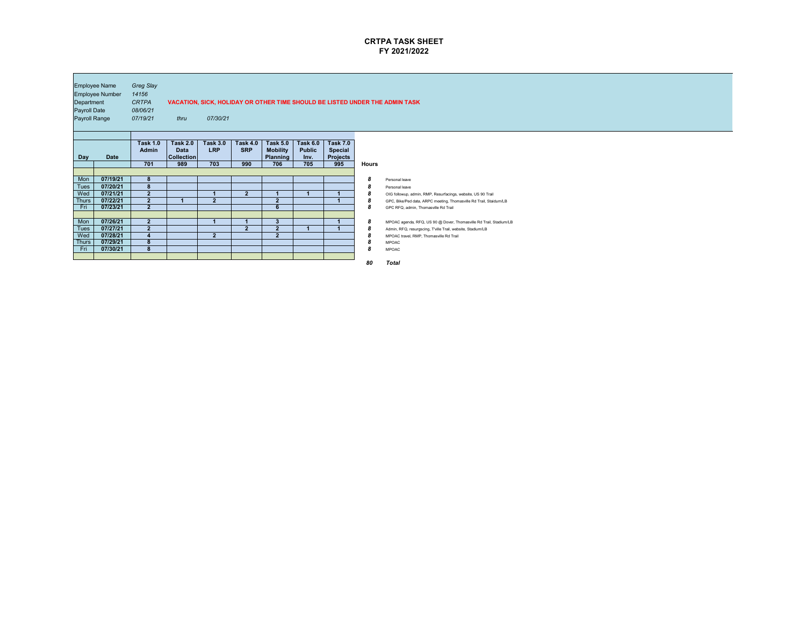

| Department<br><b>Payroll Date</b><br><b>Payroll Range</b> | <b>Employee Name</b><br><b>Employee Number</b> | <b>Greg Slay</b><br>14156<br><b>CRTPA</b><br>08/06/21<br>07/19/21 | thru                                                | 07/30/21                             |                                      |                                                              |                                                 |                                                             |                            | VACATION, SICK, HOLIDAY OR OTHER TIME SHOULD BE LISTED UNDER THE ADMIN TASK                                                                                                |
|-----------------------------------------------------------|------------------------------------------------|-------------------------------------------------------------------|-----------------------------------------------------|--------------------------------------|--------------------------------------|--------------------------------------------------------------|-------------------------------------------------|-------------------------------------------------------------|----------------------------|----------------------------------------------------------------------------------------------------------------------------------------------------------------------------|
| <b>Day</b>                                                | <b>Date</b>                                    | <b>Task 1.0</b><br><b>Admin</b><br>701                            | <b>Task 2.0</b><br><b>Data</b><br>Collection<br>989 | <b>Task 3.0</b><br><b>LRP</b><br>703 | <b>Task 4.0</b><br><b>SRP</b><br>990 | <b>Task 5.0</b><br><b>Mobility</b><br><b>Planning</b><br>706 | <b>Task 6.0</b><br><b>Public</b><br>Inv.<br>705 | <b>Task 7.0</b><br><b>Special</b><br><b>Projects</b><br>995 | <b>Hours</b>               |                                                                                                                                                                            |
| Mon<br><b>Tues</b>                                        | 07/19/21<br>07/20/21                           | 8 <sup>°</sup><br>8                                               |                                                     |                                      |                                      |                                                              |                                                 |                                                             | $\boldsymbol{8}$<br>8      | Personal leave<br>Personal leave                                                                                                                                           |
| Wed<br><b>Thurs</b><br>Fri                                | 07/21/21<br>07/22/21<br>07/23/21               | $\overline{2}$<br>$\overline{2}$<br>2 <sup>1</sup>                | И                                                   | $\boldsymbol{2}$                     | 2 <sup>1</sup>                       | 1<br>$\overline{2}$<br>$6\phantom{1}$                        |                                                 |                                                             | 8<br>8<br>$\boldsymbol{8}$ | OIG followup, admin, RMP, Resurfacings, website, US 90 Trail<br>GPC, Bike/Ped data, ARPC meeting, Thomasville Rd Trail, Staidum/LB<br>GPC RFQ, admin, Thomasville Rd Trail |
| Mon<br><b>Tues</b>                                        | 07/26/21<br>07/27/21                           | 2 <sup>2</sup><br>$\boldsymbol{2}$                                |                                                     | 1                                    | $\boldsymbol{2}$                     | $\mathbf{3}$<br>$\overline{\mathbf{2}}$                      |                                                 |                                                             | $\boldsymbol{8}$<br>8      | MPOAC agenda, RFQ, US 90 @ Dover, Thomasville Rd Trail, Stadium/LB<br>Admin, RFQ, resurgscing, T'ville Trail, website, Stadium/LB                                          |
| Wed<br>Thurs<br>Fri                                       | 07/28/21<br>07/29/21<br>07/30/21               | $\overline{\mathbf{4}}$<br>8<br>8                                 |                                                     | 2 <sup>1</sup>                       |                                      | $\overline{2}$                                               |                                                 |                                                             | 8<br>8<br>$\boldsymbol{8}$ | MPOAC travel, RMP, Thomasville Rd Trail<br><b>MPOAC</b><br><b>MPOAC</b>                                                                                                    |
|                                                           |                                                |                                                                   |                                                     |                                      |                                      |                                                              |                                                 |                                                             | 80                         | <b>Total</b>                                                                                                                                                               |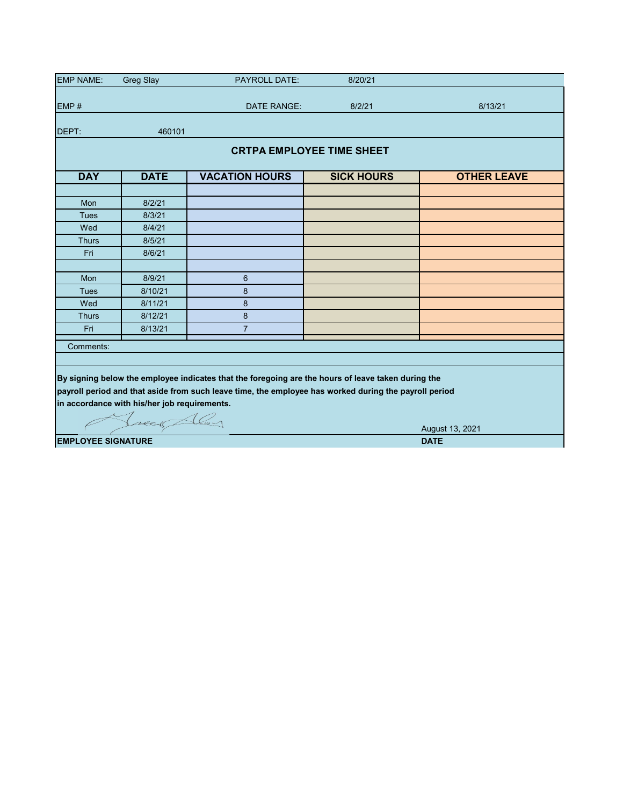| <b>EMP NAME:</b>          | <b>Greg Slay</b>                             | <b>PAYROLL DATE:</b>                                                                                  | 8/20/21                          |                    |
|---------------------------|----------------------------------------------|-------------------------------------------------------------------------------------------------------|----------------------------------|--------------------|
|                           |                                              |                                                                                                       |                                  |                    |
| EMP#                      |                                              | DATE RANGE:                                                                                           | 8/2/21                           | 8/13/21            |
| DEPT:                     | 460101                                       |                                                                                                       |                                  |                    |
|                           |                                              |                                                                                                       | <b>CRTPA EMPLOYEE TIME SHEET</b> |                    |
| <b>DAY</b>                | <b>DATE</b>                                  | <b>VACATION HOURS</b>                                                                                 | <b>SICK HOURS</b>                | <b>OTHER LEAVE</b> |
|                           |                                              |                                                                                                       |                                  |                    |
| Mon                       | 8/2/21                                       |                                                                                                       |                                  |                    |
| <b>Tues</b>               | 8/3/21                                       |                                                                                                       |                                  |                    |
| Wed                       | 8/4/21                                       |                                                                                                       |                                  |                    |
| <b>Thurs</b>              | 8/5/21                                       |                                                                                                       |                                  |                    |
| Fri                       | 8/6/21                                       |                                                                                                       |                                  |                    |
|                           |                                              |                                                                                                       |                                  |                    |
| Mon                       | 8/9/21                                       | 6                                                                                                     |                                  |                    |
| <b>Tues</b>               | 8/10/21                                      | 8                                                                                                     |                                  |                    |
| Wed                       | 8/11/21                                      | 8                                                                                                     |                                  |                    |
| <b>Thurs</b>              | 8/12/21                                      | 8                                                                                                     |                                  |                    |
| Fri                       | 8/13/21                                      | $\overline{7}$                                                                                        |                                  |                    |
| Comments:                 |                                              |                                                                                                       |                                  |                    |
|                           |                                              |                                                                                                       |                                  |                    |
|                           |                                              | By signing below the employee indicates that the foregoing are the hours of leave taken during the    |                                  |                    |
|                           |                                              | payroll period and that aside from such leave time, the employee has worked during the payroll period |                                  |                    |
|                           | in accordance with his/her job requirements. |                                                                                                       |                                  |                    |
|                           |                                              |                                                                                                       |                                  |                    |
|                           | Treas Aley                                   |                                                                                                       |                                  |                    |
|                           |                                              |                                                                                                       |                                  | August 13, 2021    |
| <b>EMPLOYEE SIGNATURE</b> |                                              | <b>DATE</b>                                                                                           |                                  |                    |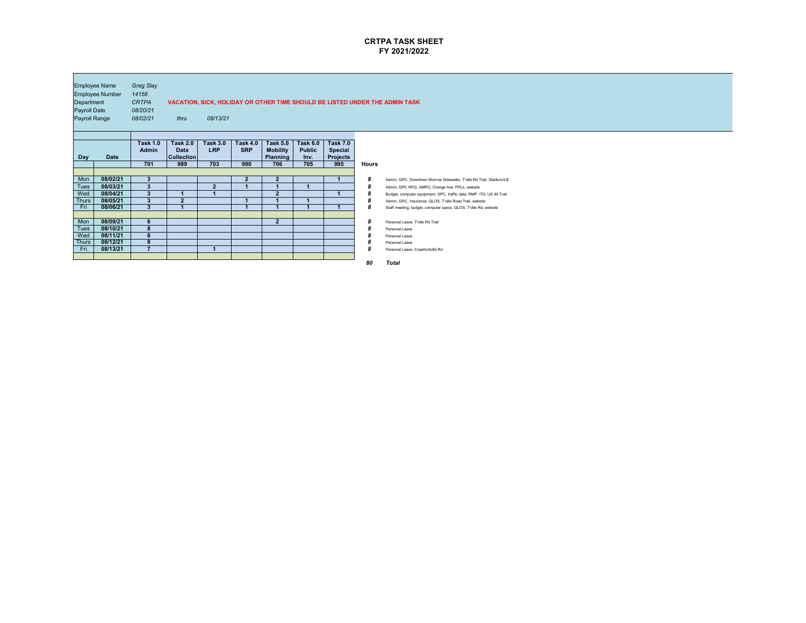

| <b>Employee Name</b><br><b>Employee Number</b><br>Department<br><b>Payroll Date</b><br><b>Payroll Range</b> |             | <b>Greg Slay</b><br>14156<br><b>CRTPA</b><br>08/20/21 |                                |                               |                               |                                    |                                  |                                   |              | VACATION, SICK, HOLIDAY OR OTHER TIME SHOULD BE LISTED UNDER THE ADMIN TASK |
|-------------------------------------------------------------------------------------------------------------|-------------|-------------------------------------------------------|--------------------------------|-------------------------------|-------------------------------|------------------------------------|----------------------------------|-----------------------------------|--------------|-----------------------------------------------------------------------------|
|                                                                                                             |             | 08/02/21                                              | thru                           | 08/13/21                      |                               |                                    |                                  |                                   |              |                                                                             |
|                                                                                                             |             |                                                       |                                |                               |                               |                                    |                                  |                                   |              |                                                                             |
|                                                                                                             |             | <b>Task 1.0</b><br><b>Admin</b>                       | <b>Task 2.0</b><br><b>Data</b> | <b>Task 3.0</b><br><b>LRP</b> | <b>Task 4.0</b><br><b>SRP</b> | <b>Task 5.0</b><br><b>Mobility</b> | <b>Task 6.0</b><br><b>Public</b> | <b>Task 7.0</b><br><b>Special</b> |              |                                                                             |
| <b>Day</b>                                                                                                  | <b>Date</b> |                                                       | <b>Collection</b>              |                               |                               | <b>Planning</b>                    | Inv.                             | <b>Projects</b>                   |              |                                                                             |
|                                                                                                             |             | 701                                                   | 989                            | 703                           | 990                           | 706                                | 705                              | 995                               | <b>Hours</b> |                                                                             |
|                                                                                                             |             |                                                       |                                |                               |                               |                                    |                                  |                                   |              |                                                                             |
| Mon                                                                                                         | 08/02/21    | $3\phantom{a}$                                        |                                |                               | 2 <sup>1</sup>                | $\overline{2}$                     |                                  |                                   | 8            | Admin, GPC, Downtown Monroe Sidewalks, T'ville Rd Trail, Stadium/LB         |
| <b>Tues</b>                                                                                                 | 08/03/21    | $\overline{3}$                                        |                                | $\overline{2}$                |                               |                                    |                                  |                                   | 8            | Admin, GPC RFQ, AMPO, Orange Ave, PPLs, website                             |
| Wed                                                                                                         | 08/04/21    | $\boldsymbol{3}$                                      |                                |                               |                               | $\overline{2}$                     |                                  |                                   | 8            | Budget, computer equipment, GPC, traffic data, RMP, ITS, US 90 Trail        |
| <b>Thurs</b>                                                                                                | 08/05/21    | $\mathbf{3}$                                          | $\overline{2}$                 |                               |                               |                                    |                                  |                                   | 8            | Admin, GPC, Insurance, QLOS, T'ville Road Trail, website                    |
| Fri                                                                                                         | 08/06/21    | 3 <sup>2</sup>                                        |                                |                               |                               | $\blacktriangleleft$               |                                  |                                   | 8            | Staff meeting, budget, computer specs, QLOS, T'ville Rd, website            |
|                                                                                                             |             |                                                       |                                |                               |                               |                                    |                                  |                                   |              |                                                                             |
| Mon                                                                                                         | 08/09/21    | 6                                                     |                                |                               |                               | $\overline{2}$                     |                                  |                                   | 8            | Personal Leave, T'ville Rd Trail                                            |
| <b>Tues</b>                                                                                                 | 08/10/21    | 8                                                     |                                |                               |                               |                                    |                                  |                                   | 8            | <b>Personal Leave</b>                                                       |
| Wed                                                                                                         | 08/11/21    | 8                                                     |                                |                               |                               |                                    |                                  |                                   | ŏ            | Personal Leave                                                              |
| <b>Thurs</b>                                                                                                | 08/12/21    | 8                                                     |                                |                               |                               |                                    |                                  |                                   | 8            | Personal Leave                                                              |
| Fri                                                                                                         | 08/13/21    | 7                                                     |                                |                               |                               |                                    |                                  |                                   | 8            | Personal Leave, Crawfordville Rd                                            |
|                                                                                                             |             |                                                       |                                |                               |                               |                                    |                                  |                                   |              |                                                                             |
|                                                                                                             |             |                                                       |                                |                               |                               |                                    |                                  |                                   | 80           | <b>Total</b>                                                                |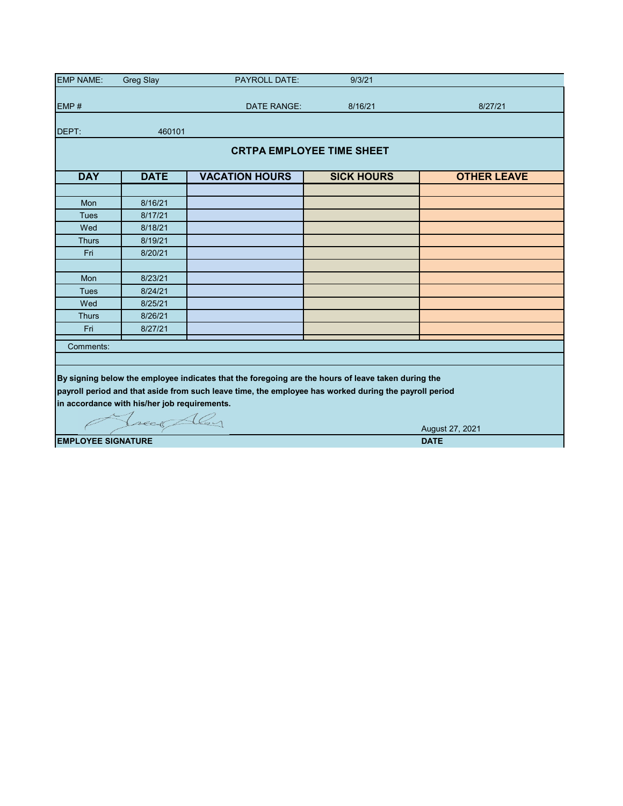| <b>EMP NAME:</b>                         | <b>Greg Slay</b>                             | <b>PAYROLL DATE:</b>                                                                                  | 9/3/21            |                    |  |  |  |  |  |  |  |  |  |
|------------------------------------------|----------------------------------------------|-------------------------------------------------------------------------------------------------------|-------------------|--------------------|--|--|--|--|--|--|--|--|--|
|                                          |                                              |                                                                                                       |                   |                    |  |  |  |  |  |  |  |  |  |
| EMP#                                     |                                              | DATE RANGE:                                                                                           | 8/16/21           | 8/27/21            |  |  |  |  |  |  |  |  |  |
| DEPT:                                    | 460101                                       |                                                                                                       |                   |                    |  |  |  |  |  |  |  |  |  |
|                                          | <b>CRTPA EMPLOYEE TIME SHEET</b>             |                                                                                                       |                   |                    |  |  |  |  |  |  |  |  |  |
| <b>DAY</b>                               | <b>DATE</b>                                  | <b>VACATION HOURS</b>                                                                                 | <b>SICK HOURS</b> | <b>OTHER LEAVE</b> |  |  |  |  |  |  |  |  |  |
|                                          |                                              |                                                                                                       |                   |                    |  |  |  |  |  |  |  |  |  |
| <b>Mon</b>                               | 8/16/21                                      |                                                                                                       |                   |                    |  |  |  |  |  |  |  |  |  |
| <b>Tues</b>                              | 8/17/21                                      |                                                                                                       |                   |                    |  |  |  |  |  |  |  |  |  |
| Wed                                      | 8/18/21                                      |                                                                                                       |                   |                    |  |  |  |  |  |  |  |  |  |
| <b>Thurs</b>                             | 8/19/21                                      |                                                                                                       |                   |                    |  |  |  |  |  |  |  |  |  |
| Fri                                      | 8/20/21                                      |                                                                                                       |                   |                    |  |  |  |  |  |  |  |  |  |
|                                          |                                              |                                                                                                       |                   |                    |  |  |  |  |  |  |  |  |  |
| Mon                                      | 8/23/21                                      |                                                                                                       |                   |                    |  |  |  |  |  |  |  |  |  |
| <b>Tues</b>                              | 8/24/21                                      |                                                                                                       |                   |                    |  |  |  |  |  |  |  |  |  |
| Wed                                      | 8/25/21                                      |                                                                                                       |                   |                    |  |  |  |  |  |  |  |  |  |
| <b>Thurs</b>                             | 8/26/21                                      |                                                                                                       |                   |                    |  |  |  |  |  |  |  |  |  |
| Fri                                      | 8/27/21                                      |                                                                                                       |                   |                    |  |  |  |  |  |  |  |  |  |
| Comments:                                |                                              |                                                                                                       |                   |                    |  |  |  |  |  |  |  |  |  |
|                                          |                                              |                                                                                                       |                   |                    |  |  |  |  |  |  |  |  |  |
|                                          |                                              | By signing below the employee indicates that the foregoing are the hours of leave taken during the    |                   |                    |  |  |  |  |  |  |  |  |  |
|                                          |                                              | payroll period and that aside from such leave time, the employee has worked during the payroll period |                   |                    |  |  |  |  |  |  |  |  |  |
|                                          | in accordance with his/her job requirements. |                                                                                                       |                   |                    |  |  |  |  |  |  |  |  |  |
|                                          |                                              |                                                                                                       |                   |                    |  |  |  |  |  |  |  |  |  |
|                                          | Treas Aley                                   |                                                                                                       |                   |                    |  |  |  |  |  |  |  |  |  |
|                                          |                                              |                                                                                                       |                   | August 27, 2021    |  |  |  |  |  |  |  |  |  |
| <b>EMPLOYEE SIGNATURE</b><br><b>DATE</b> |                                              |                                                                                                       |                   |                    |  |  |  |  |  |  |  |  |  |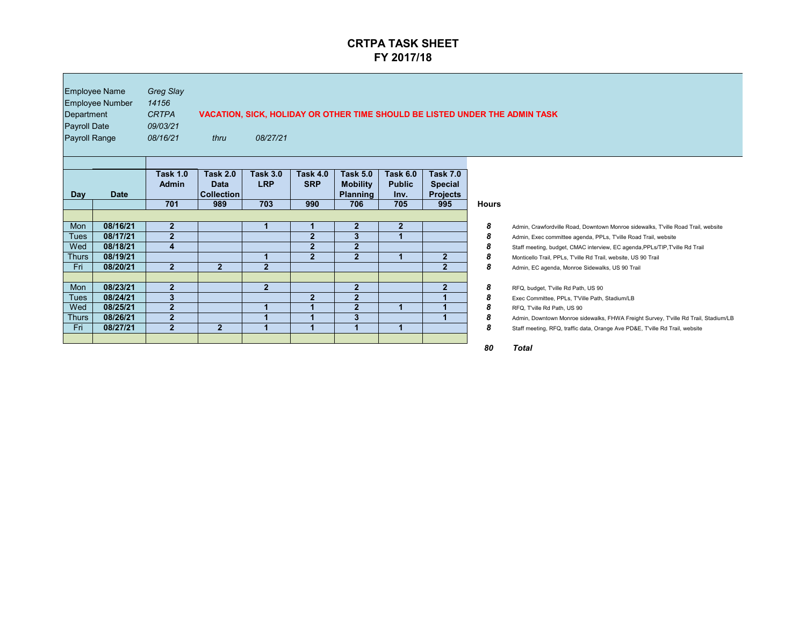| Department<br><b>Payroll Date</b><br><b>Payroll Range</b> | <b>Employee Name</b><br><b>Employee Number</b> | <b>Greg Slay</b><br>14156<br><b>CRTPA</b><br>09/03/21<br>08/16/21 | thru                                                       | 08/27/21                             |                                      |                                                              |                                                 |                                                             |                  | VACATION, SICK, HOLIDAY OR OTHER TIME SHOULD BE LISTED UNDER THE ADMIN TASK         |
|-----------------------------------------------------------|------------------------------------------------|-------------------------------------------------------------------|------------------------------------------------------------|--------------------------------------|--------------------------------------|--------------------------------------------------------------|-------------------------------------------------|-------------------------------------------------------------|------------------|-------------------------------------------------------------------------------------|
| <b>Day</b>                                                | <b>Date</b>                                    | <b>Task 1.0</b><br><b>Admin</b><br>701                            | <b>Task 2.0</b><br><b>Data</b><br><b>Collection</b><br>989 | <b>Task 3.0</b><br><b>LRP</b><br>703 | <b>Task 4.0</b><br><b>SRP</b><br>990 | <b>Task 5.0</b><br><b>Mobility</b><br><b>Planning</b><br>706 | <b>Task 6.0</b><br><b>Public</b><br>Inv.<br>705 | <b>Task 7.0</b><br><b>Special</b><br><b>Projects</b><br>995 | <b>Hours</b>     |                                                                                     |
|                                                           |                                                |                                                                   |                                                            |                                      |                                      |                                                              |                                                 |                                                             |                  |                                                                                     |
| Mon                                                       | 08/16/21                                       | $\overline{2}$                                                    |                                                            | 1                                    |                                      | $\mathbf{2}$                                                 | $\overline{2}$                                  |                                                             | 8                | Admin, Crawfordville Road, Downtown Monroe sidewalks, T'ville Road Trail, website   |
| <b>Tues</b>                                               | 08/17/21                                       | $\overline{2}$                                                    |                                                            |                                      | $\overline{2}$                       | 3                                                            |                                                 |                                                             | 8                | Admin, Exec committee agenda, PPLs, T'ville Road Trail, website                     |
| Wed                                                       | 08/18/21                                       | 4                                                                 |                                                            |                                      | 2 <sup>1</sup>                       | 2 <sup>1</sup>                                               |                                                 |                                                             | 8                | Staff meeting, budget, CMAC interview, EC agenda, PPLs/TIP, T'ville Rd Trail        |
| <b>Thurs</b>                                              | 08/19/21                                       |                                                                   |                                                            | 1                                    | 2 <sup>1</sup>                       | 2 <sup>2</sup>                                               |                                                 | 2 <sup>2</sup>                                              | 8                | Monticello Trail, PPLs, T'ville Rd Trail, website, US 90 Trail                      |
| Fri                                                       | 08/20/21                                       | $\overline{2}$                                                    | 2 <sup>1</sup>                                             | $\overline{2}$                       |                                      |                                                              |                                                 | $2\overline{2}$                                             | 8                | Admin, EC agenda, Monroe Sidewalks, US 90 Trail                                     |
|                                                           |                                                |                                                                   |                                                            |                                      |                                      |                                                              |                                                 |                                                             |                  |                                                                                     |
| Mon                                                       | 08/23/21                                       | $\overline{2}$                                                    |                                                            | $\overline{2}$                       |                                      | $\overline{2}$                                               |                                                 | $\overline{2}$                                              | $\boldsymbol{8}$ | RFQ, budget, T'ville Rd Path, US 90                                                 |
| <b>Tues</b>                                               | 08/24/21                                       | $3\overline{3}$                                                   |                                                            |                                      | 2 <sup>2</sup>                       | $\overline{2}$                                               |                                                 | 1                                                           | 8                | Exec Committee, PPLs, T'Ville Path, Stadium/LB                                      |
| Wed                                                       | 08/25/21                                       | 2 <sup>2</sup>                                                    |                                                            | 1                                    |                                      | $\overline{2}$                                               | $\blacktriangleleft$                            | 1                                                           | 8                | RFQ, T'ville Rd Path, US 90                                                         |
| <b>Thurs</b>                                              | 08/26/21                                       | $\overline{2}$                                                    |                                                            | 1                                    |                                      | 3                                                            |                                                 | 1                                                           | 8                | Admin, Downtown Monroe sidewalks, FHWA Freight Survey, T'ville Rd Trail, Stadium/LB |
| Fri                                                       | 08/27/21                                       | $\overline{2}$                                                    | 2 <sup>1</sup>                                             |                                      |                                      |                                                              |                                                 |                                                             | 8                | Staff meeting, RFQ, traffic data, Orange Ave PD&E, T'ville Rd Trail, website        |
|                                                           |                                                |                                                                   |                                                            |                                      |                                      |                                                              |                                                 |                                                             |                  |                                                                                     |

## **UNDER THE ADMIN TASK**

| <b>Hours</b> |                                                                                     |
|--------------|-------------------------------------------------------------------------------------|
|              |                                                                                     |
| 8            | Admin, Crawfordville Road, Downtown Monroe sidewalks, T'ville Road Trail, website   |
| 8            | Admin, Exec committee agenda, PPLs, T'ville Road Trail, website                     |
| 8            | Staff meeting, budget, CMAC interview, EC agenda, PPLs/TIP, T'ville Rd Trail        |
| 8            | Monticello Trail, PPLs, T'ville Rd Trail, website, US 90 Trail                      |
| 8            | Admin, EC agenda, Monroe Sidewalks, US 90 Trail                                     |
|              |                                                                                     |
| 8            | RFQ, budget, T'ville Rd Path, US 90                                                 |
| 8            | Exec Committee, PPLs, T'Ville Path, Stadium/LB                                      |
| 8            | RFQ, T'ville Rd Path, US 90                                                         |
| 8            | Admin, Downtown Monroe sidewalks, FHWA Freight Survey, T'ville Rd Trail, Stadium/LE |
| 8            | Staff meeting, RFQ, traffic data, Orange Ave PD&E, T'ville Rd Trail, website        |
|              |                                                                                     |
|              |                                                                                     |

*80 Total*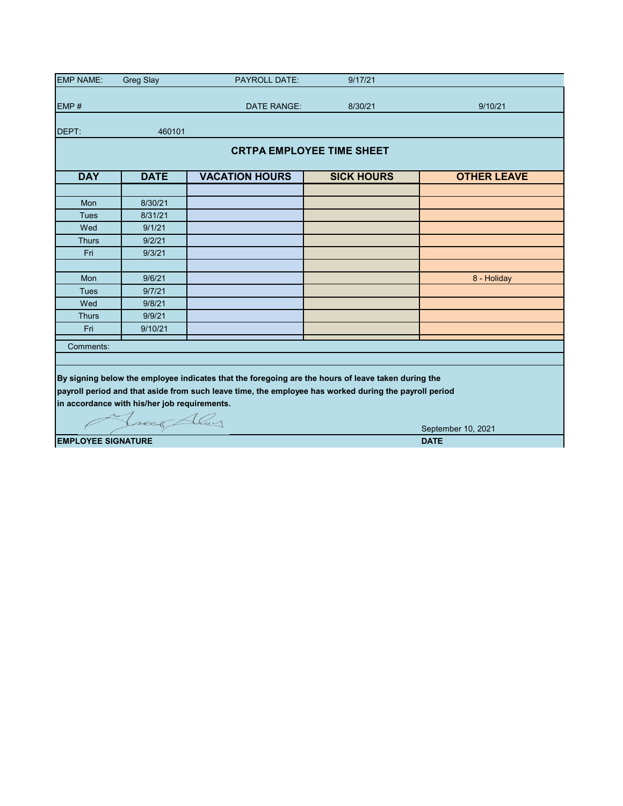| <b>EMP NAME:</b> | <b>Greg Slay</b><br><b>PAYROLL DATE:</b>     |                                                                                                       | 9/17/21           |                    |  |  |  |  |  |  |  |  |
|------------------|----------------------------------------------|-------------------------------------------------------------------------------------------------------|-------------------|--------------------|--|--|--|--|--|--|--|--|
|                  |                                              |                                                                                                       |                   |                    |  |  |  |  |  |  |  |  |
| EMP#             |                                              | <b>DATE RANGE:</b>                                                                                    | 8/30/21           | 9/10/21            |  |  |  |  |  |  |  |  |
| DEPT:            | 460101                                       |                                                                                                       |                   |                    |  |  |  |  |  |  |  |  |
|                  | <b>CRTPA EMPLOYEE TIME SHEET</b>             |                                                                                                       |                   |                    |  |  |  |  |  |  |  |  |
| <b>DAY</b>       | <b>DATE</b>                                  | <b>VACATION HOURS</b>                                                                                 | <b>SICK HOURS</b> | <b>OTHER LEAVE</b> |  |  |  |  |  |  |  |  |
|                  |                                              |                                                                                                       |                   |                    |  |  |  |  |  |  |  |  |
| Mon              | 8/30/21                                      |                                                                                                       |                   |                    |  |  |  |  |  |  |  |  |
| <b>Tues</b>      | 8/31/21                                      |                                                                                                       |                   |                    |  |  |  |  |  |  |  |  |
| Wed              | 9/1/21                                       |                                                                                                       |                   |                    |  |  |  |  |  |  |  |  |
| <b>Thurs</b>     | 9/2/21                                       |                                                                                                       |                   |                    |  |  |  |  |  |  |  |  |
| Fri              | 9/3/21                                       |                                                                                                       |                   |                    |  |  |  |  |  |  |  |  |
|                  |                                              |                                                                                                       |                   |                    |  |  |  |  |  |  |  |  |
| Mon              | 9/6/21                                       |                                                                                                       |                   | 8 - Holiday        |  |  |  |  |  |  |  |  |
| Tues             | 9/7/21                                       |                                                                                                       |                   |                    |  |  |  |  |  |  |  |  |
| Wed              | 9/8/21                                       |                                                                                                       |                   |                    |  |  |  |  |  |  |  |  |
| <b>Thurs</b>     | 9/9/21                                       |                                                                                                       |                   |                    |  |  |  |  |  |  |  |  |
| Fri              | 9/10/21                                      |                                                                                                       |                   |                    |  |  |  |  |  |  |  |  |
| Comments:        |                                              |                                                                                                       |                   |                    |  |  |  |  |  |  |  |  |
|                  |                                              |                                                                                                       |                   |                    |  |  |  |  |  |  |  |  |
|                  |                                              | By signing below the employee indicates that the foregoing are the hours of leave taken during the    |                   |                    |  |  |  |  |  |  |  |  |
|                  |                                              | payroll period and that aside from such leave time, the employee has worked during the payroll period |                   |                    |  |  |  |  |  |  |  |  |
|                  |                                              |                                                                                                       |                   |                    |  |  |  |  |  |  |  |  |
|                  | in accordance with his/her job requirements. |                                                                                                       |                   |                    |  |  |  |  |  |  |  |  |
|                  | Tree Aley                                    |                                                                                                       |                   |                    |  |  |  |  |  |  |  |  |
|                  |                                              |                                                                                                       |                   | September 10, 2021 |  |  |  |  |  |  |  |  |
|                  | <b>EMPLOYEE SIGNATURE</b><br><b>DATE</b>     |                                                                                                       |                   |                    |  |  |  |  |  |  |  |  |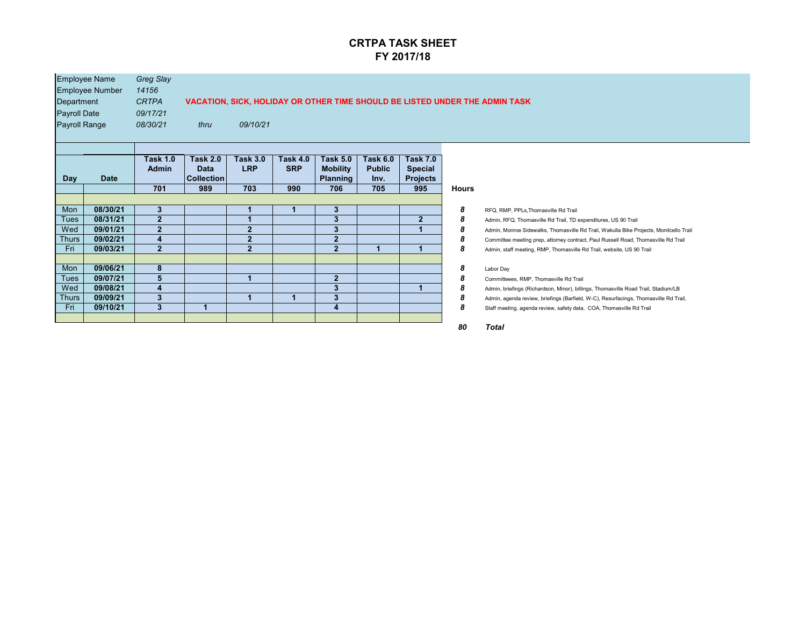| Department<br><b>Payroll Date</b><br><b>Payroll Range</b> | <b>Employee Name</b><br><b>Employee Number</b> | <b>Greg Slay</b><br>14156<br><b>CRTPA</b><br>09/17/21<br>08/30/21 | thru                                                | 09/10/21                      |                               |                                                       |                                          |                                                      |              | VACATION, SICK, HOLIDAY OR OTHER TIME SHOULD BE LISTED UNDER THE ADMIN TASK            |
|-----------------------------------------------------------|------------------------------------------------|-------------------------------------------------------------------|-----------------------------------------------------|-------------------------------|-------------------------------|-------------------------------------------------------|------------------------------------------|------------------------------------------------------|--------------|----------------------------------------------------------------------------------------|
| <b>Day</b>                                                | <b>Date</b>                                    | <b>Task 1.0</b><br><b>Admin</b>                                   | <b>Task 2.0</b><br><b>Data</b><br><b>Collection</b> | <b>Task 3.0</b><br><b>LRP</b> | <b>Task 4.0</b><br><b>SRP</b> | <b>Task 5.0</b><br><b>Mobility</b><br><b>Planning</b> | <b>Task 6.0</b><br><b>Public</b><br>Inv. | <b>Task 7.0</b><br><b>Special</b><br><b>Projects</b> |              |                                                                                        |
|                                                           |                                                | 701                                                               | 989                                                 | 703                           | 990                           | 706                                                   | 705                                      | 995                                                  | <b>Hours</b> |                                                                                        |
| Mon                                                       | 08/30/21                                       | $\boldsymbol{3}$                                                  |                                                     |                               |                               | 3 <sup>5</sup>                                        |                                          |                                                      | 8            | RFQ, RMP, PPLs, Thomasville Rd Trail                                                   |
| <b>Tues</b>                                               | 08/31/21                                       | $\overline{2}$                                                    |                                                     |                               |                               | 3                                                     |                                          | 2 <sup>1</sup>                                       | 8            | Admin, RFQ, Thomasville Rd Trail, TD expenditures, US 90 Trail                         |
| Wed                                                       | 09/01/21                                       | $2 \nightharpoonup$                                               |                                                     | $\overline{2}$                |                               | 3                                                     |                                          |                                                      | 8            | Admin, Monroe Sidewalks, Thomasville Rd Trail, Wakulla Bike Projects, Monitcello Trail |
| <b>Thurs</b>                                              | 09/02/21                                       | $\overline{\mathbf{4}}$                                           |                                                     | $\overline{2}$                |                               | 2 <sup>1</sup>                                        |                                          |                                                      | 8            | Committee meeting prep, attorney contract, Paul Russell Road, Thomasville Rd Trail     |
| Fri                                                       | 09/03/21                                       | $\overline{2}$                                                    |                                                     | 2 <sup>2</sup>                |                               | 2 <sup>2</sup>                                        |                                          |                                                      | 8            | Admin, staff meeting, RMP, Thomasville Rd Trail, website, US 90 Trail                  |
| Mon                                                       | 09/06/21                                       | 8                                                                 |                                                     |                               |                               |                                                       |                                          |                                                      | 8            | Labor Day                                                                              |
| <b>Tues</b>                                               | 09/07/21                                       | $5\phantom{1}$                                                    |                                                     |                               |                               | 2 <sup>1</sup>                                        |                                          |                                                      | 8            | Committeees, RMP, Thomasville Rd Trail                                                 |
| Wed                                                       | 09/08/21                                       | $\overline{\mathbf{4}}$                                           |                                                     |                               |                               | 3                                                     |                                          |                                                      | 8            | Admin, briefings (Richardson, Minor), billings, Thomasville Road Trail, Stadium/LB     |
| <b>Thurs</b>                                              | 09/09/21                                       | $\boldsymbol{3}$                                                  |                                                     |                               |                               | $\boldsymbol{3}$                                      |                                          |                                                      | 8            | Admin, agenda review, briefings (Barfield, W-C), Resurfacings, Thomasville Rd Trail,   |
| Fri                                                       | 09/10/21                                       | 3                                                                 | 1                                                   |                               |                               | $\overline{\mathbf{4}}$                               |                                          |                                                      | 8            | Staff meeting, agenda review, safety data, COA, Thomasville Rd Trail                   |
|                                                           |                                                |                                                                   |                                                     |                               |                               |                                                       |                                          |                                                      |              |                                                                                        |

## **INDER THE ADMIN TASK**

| <b>Hours</b> |                                                                                        |
|--------------|----------------------------------------------------------------------------------------|
| 8            | RFQ, RMP, PPLs, Thomasville Rd Trail                                                   |
| 8            | Admin, RFQ, Thomasville Rd Trail, TD expenditures, US 90 Trail                         |
| 8            | Admin, Monroe Sidewalks, Thomasville Rd Trail, Wakulla Bike Projects, Monitcello Trail |
| 8            | Committee meeting prep, attorney contract, Paul Russell Road, Thomasville Rd Trail     |
| 8            | Admin, staff meeting, RMP, Thomasville Rd Trail, website, US 90 Trail                  |
| 8            | Labor Day                                                                              |
| 8            | Committeees, RMP, Thomasville Rd Trail                                                 |
| 8            | Admin, briefings (Richardson, Minor), billings, Thomasville Road Trail, Stadium/LB     |
| 8            | Admin, agenda review, briefings (Barfield, W-C), Resurfacings, Thomasville Rd Trail,   |
| 8            | Staff meeting, agenda review, safety data, COA, Thomasville Rd Trail                   |
| 80           | Total                                                                                  |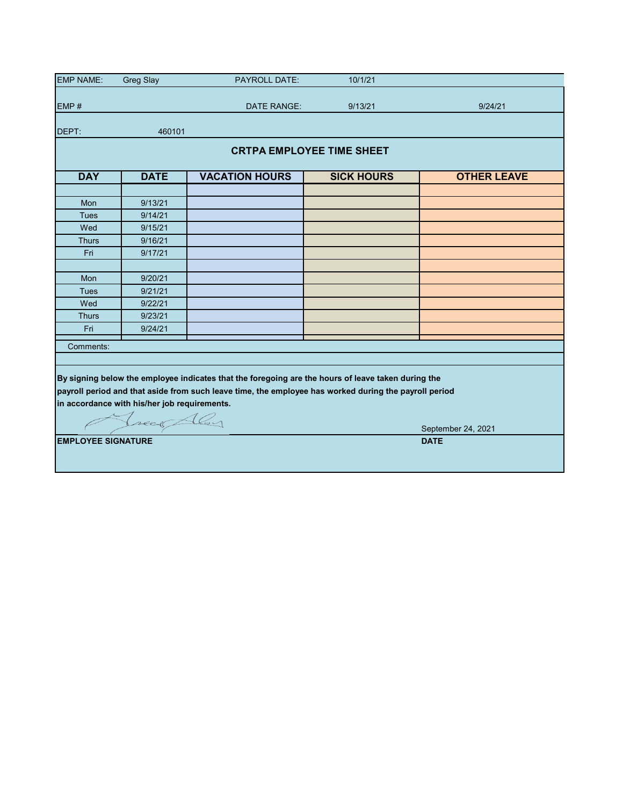| <b>EMP NAME:</b>          | <b>Greg Slay</b>                             | <b>PAYROLL DATE:</b>                                                                                  | 10/1/21           |                    |  |  |  |  |  |  |  |
|---------------------------|----------------------------------------------|-------------------------------------------------------------------------------------------------------|-------------------|--------------------|--|--|--|--|--|--|--|
| EMP#                      |                                              | <b>DATE RANGE:</b>                                                                                    | 9/13/21           | 9/24/21            |  |  |  |  |  |  |  |
|                           |                                              |                                                                                                       |                   |                    |  |  |  |  |  |  |  |
| DEPT:                     | 460101                                       |                                                                                                       |                   |                    |  |  |  |  |  |  |  |
|                           | <b>CRTPA EMPLOYEE TIME SHEET</b>             |                                                                                                       |                   |                    |  |  |  |  |  |  |  |
|                           |                                              |                                                                                                       |                   |                    |  |  |  |  |  |  |  |
| <b>DAY</b>                | <b>DATE</b>                                  | <b>VACATION HOURS</b>                                                                                 | <b>SICK HOURS</b> | <b>OTHER LEAVE</b> |  |  |  |  |  |  |  |
|                           |                                              |                                                                                                       |                   |                    |  |  |  |  |  |  |  |
| Mon                       | 9/13/21                                      |                                                                                                       |                   |                    |  |  |  |  |  |  |  |
| <b>Tues</b>               | 9/14/21                                      |                                                                                                       |                   |                    |  |  |  |  |  |  |  |
| Wed                       | 9/15/21                                      |                                                                                                       |                   |                    |  |  |  |  |  |  |  |
| <b>Thurs</b>              | 9/16/21                                      |                                                                                                       |                   |                    |  |  |  |  |  |  |  |
| Fri                       | 9/17/21                                      |                                                                                                       |                   |                    |  |  |  |  |  |  |  |
|                           |                                              |                                                                                                       |                   |                    |  |  |  |  |  |  |  |
| Mon                       | 9/20/21                                      |                                                                                                       |                   |                    |  |  |  |  |  |  |  |
| <b>Tues</b>               | 9/21/21                                      |                                                                                                       |                   |                    |  |  |  |  |  |  |  |
| Wed                       | 9/22/21                                      |                                                                                                       |                   |                    |  |  |  |  |  |  |  |
| <b>Thurs</b>              | 9/23/21                                      |                                                                                                       |                   |                    |  |  |  |  |  |  |  |
| Fri                       | 9/24/21                                      |                                                                                                       |                   |                    |  |  |  |  |  |  |  |
| Comments:                 |                                              |                                                                                                       |                   |                    |  |  |  |  |  |  |  |
|                           |                                              |                                                                                                       |                   |                    |  |  |  |  |  |  |  |
|                           |                                              |                                                                                                       |                   |                    |  |  |  |  |  |  |  |
|                           |                                              | By signing below the employee indicates that the foregoing are the hours of leave taken during the    |                   |                    |  |  |  |  |  |  |  |
|                           |                                              | payroll period and that aside from such leave time, the employee has worked during the payroll period |                   |                    |  |  |  |  |  |  |  |
|                           | in accordance with his/her job requirements. |                                                                                                       |                   |                    |  |  |  |  |  |  |  |
|                           | Treas Aley                                   |                                                                                                       |                   |                    |  |  |  |  |  |  |  |
|                           |                                              |                                                                                                       |                   | September 24, 2021 |  |  |  |  |  |  |  |
| <b>EMPLOYEE SIGNATURE</b> |                                              |                                                                                                       |                   | <b>DATE</b>        |  |  |  |  |  |  |  |
|                           |                                              |                                                                                                       |                   |                    |  |  |  |  |  |  |  |
|                           |                                              |                                                                                                       |                   |                    |  |  |  |  |  |  |  |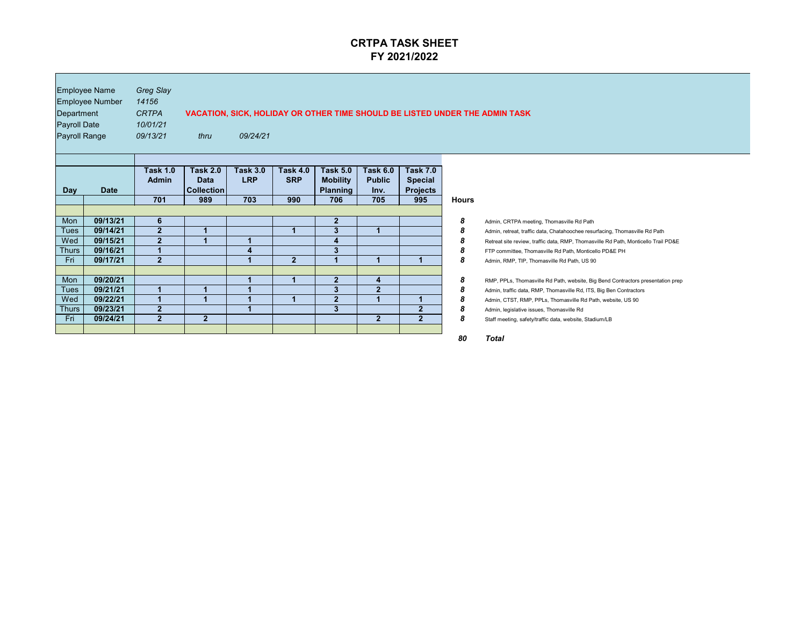| Department<br><b>Payroll Date</b><br><b>Payroll Range</b> | <b>Employee Name</b><br><b>Employee Number</b> | <b>Greg Slay</b><br>14156<br><b>CRTPA</b><br>10/01/21<br>09/13/21 | VACATION, SICK, HOLIDAY OR OTHER TIME SHOULD BE LISTED UNDER THE ADMIN TASK<br>thru<br>09/24/21 |                                      |                                      |                                                              |                                                 |                                                             |                  |                                                                                                                                                                   |  |  |
|-----------------------------------------------------------|------------------------------------------------|-------------------------------------------------------------------|-------------------------------------------------------------------------------------------------|--------------------------------------|--------------------------------------|--------------------------------------------------------------|-------------------------------------------------|-------------------------------------------------------------|------------------|-------------------------------------------------------------------------------------------------------------------------------------------------------------------|--|--|
| <b>Day</b>                                                | <b>Date</b>                                    | Task 1.0<br><b>Admin</b><br>701                                   | <b>Task 2.0</b><br><b>Data</b><br>  Collection  <br>989                                         | <b>Task 3.0</b><br><b>LRP</b><br>703 | <b>Task 4.0</b><br><b>SRP</b><br>990 | <b>Task 5.0</b><br><b>Mobility</b><br><b>Planning</b><br>706 | <b>Task 6.0</b><br><b>Public</b><br>Inv.<br>705 | <b>Task 7.0</b><br><b>Special</b><br><b>Projects</b><br>995 | <b>Hours</b>     |                                                                                                                                                                   |  |  |
| Mon                                                       | 09/13/21                                       | 6 <sup>°</sup>                                                    |                                                                                                 |                                      |                                      | $\mathbf{2}$                                                 |                                                 |                                                             | $\boldsymbol{8}$ | Admin, CRTPA meeting, Thomasville Rd Path                                                                                                                         |  |  |
| <b>Tues</b><br>Wed                                        | 09/14/21<br>09/15/21                           | 2 <sup>1</sup><br>$\mathbf 2$                                     |                                                                                                 |                                      |                                      | 3<br>4                                                       |                                                 |                                                             | 8<br>8           | Admin, retreat, traffic data, Chatahoochee resurfacing, Thomasville Rd Path<br>Retreat site review, traffic data, RMP, Thomasville Rd Path, Monticello Trail PD&E |  |  |
| <b>Thurs</b><br>Fri                                       | 09/16/21<br>09/17/21                           | $\overline{2}$                                                    |                                                                                                 |                                      | 2 <sup>1</sup>                       | 3                                                            |                                                 |                                                             | 8<br>8           | FTP committee, Thomasville Rd Path, Monticello PD&E PH<br>Admin, RMP, TIP, Thomasville Rd Path, US 90                                                             |  |  |
| Mon                                                       | 09/20/21                                       |                                                                   |                                                                                                 |                                      |                                      | $\overline{2}$                                               |                                                 |                                                             |                  |                                                                                                                                                                   |  |  |
| <b>Tues</b>                                               | 09/21/21                                       |                                                                   |                                                                                                 |                                      |                                      | 3                                                            | $\overline{\mathbf{4}}$<br>$\overline{2}$       |                                                             | 8<br>8           | RMP, PPLs, Thomasville Rd Path, website, Big Bend Contractors presentation prep<br>Admin, traffic data, RMP, Thomasville Rd, ITS, Big Ben Contractors             |  |  |
| Wed                                                       | 09/22/21                                       |                                                                   |                                                                                                 |                                      |                                      | $\mathbf{2}$                                                 |                                                 |                                                             | 8                | Admin, CTST, RMP, PPLs, Thomasville Rd Path, website, US 90                                                                                                       |  |  |
| <b>Thurs</b><br>Fri                                       | 09/23/21<br>09/24/21                           | $\overline{2}$<br>2 <sup>1</sup>                                  | 2 <sup>1</sup>                                                                                  |                                      |                                      | 3 <sup>5</sup>                                               | 2 <sup>1</sup>                                  | $\overline{2}$<br>2 <sup>1</sup>                            | 8<br>8           | Admin, legislative issues, Thomasville Rd                                                                                                                         |  |  |
|                                                           |                                                |                                                                   |                                                                                                 |                                      |                                      |                                                              |                                                 |                                                             |                  | Staff meeting, safety/traffic data, website, Stadium/LB                                                                                                           |  |  |

## **JNDER THE ADMIN TASK**

| <b>Hours</b> |                                                                                    |
|--------------|------------------------------------------------------------------------------------|
| 8            | Admin, CRTPA meeting, Thomasville Rd Path                                          |
| 8            | Admin, retreat, traffic data, Chatahoochee resurfacing, Thomasville Rd Path        |
| 8            | Retreat site review, traffic data, RMP, Thomasville Rd Path, Monticello Trail PD&E |
| 8            | FTP committee, Thomasville Rd Path, Monticello PD&E PH                             |
| 8            | Admin, RMP, TIP, Thomasville Rd Path, US 90                                        |
| 8            | RMP, PPLs, Thomasville Rd Path, website, Big Bend Contractors presentation prep    |
| 8            | Admin, traffic data, RMP, Thomasville Rd, ITS, Big Ben Contractors                 |
| 8            | Admin, CTST, RMP, PPLs, Thomasville Rd Path, website, US 90                        |
| 8            | Admin, legislative issues, Thomasville Rd                                          |
| 8            | Staff meeting, safety/traffic data, website, Stadium/LB                            |
| 80           | Total                                                                              |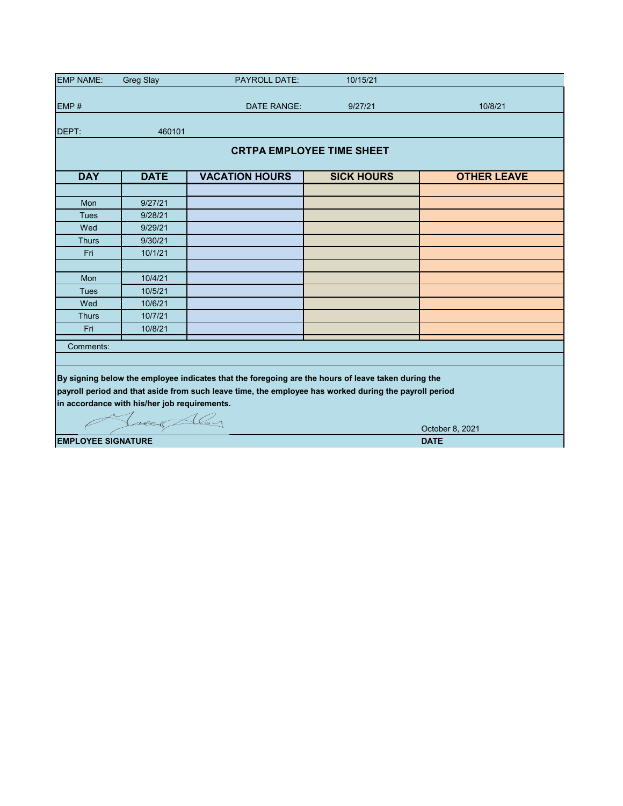| <b>EMP NAME:</b>                         | <b>Greg Slay</b>                             | <b>PAYROLL DATE:</b>                                                                                  | 10/15/21          |                    |  |  |  |  |  |  |
|------------------------------------------|----------------------------------------------|-------------------------------------------------------------------------------------------------------|-------------------|--------------------|--|--|--|--|--|--|
|                                          |                                              |                                                                                                       |                   |                    |  |  |  |  |  |  |
| EMP#                                     |                                              | DATE RANGE:                                                                                           | 9/27/21           | 10/8/21            |  |  |  |  |  |  |
| DEPT:                                    | 460101                                       |                                                                                                       |                   |                    |  |  |  |  |  |  |
|                                          |                                              |                                                                                                       |                   |                    |  |  |  |  |  |  |
| <b>CRTPA EMPLOYEE TIME SHEET</b>         |                                              |                                                                                                       |                   |                    |  |  |  |  |  |  |
| <b>DAY</b>                               | <b>DATE</b>                                  | <b>VACATION HOURS</b>                                                                                 | <b>SICK HOURS</b> | <b>OTHER LEAVE</b> |  |  |  |  |  |  |
|                                          |                                              |                                                                                                       |                   |                    |  |  |  |  |  |  |
| Mon                                      | 9/27/21                                      |                                                                                                       |                   |                    |  |  |  |  |  |  |
| <b>Tues</b>                              | 9/28/21                                      |                                                                                                       |                   |                    |  |  |  |  |  |  |
| Wed                                      | 9/29/21                                      |                                                                                                       |                   |                    |  |  |  |  |  |  |
| <b>Thurs</b>                             | 9/30/21                                      |                                                                                                       |                   |                    |  |  |  |  |  |  |
| Fri                                      | 10/1/21                                      |                                                                                                       |                   |                    |  |  |  |  |  |  |
|                                          |                                              |                                                                                                       |                   |                    |  |  |  |  |  |  |
| Mon                                      | 10/4/21                                      |                                                                                                       |                   |                    |  |  |  |  |  |  |
| <b>Tues</b>                              | 10/5/21                                      |                                                                                                       |                   |                    |  |  |  |  |  |  |
| Wed                                      | 10/6/21                                      |                                                                                                       |                   |                    |  |  |  |  |  |  |
| <b>Thurs</b>                             | 10/7/21                                      |                                                                                                       |                   |                    |  |  |  |  |  |  |
| Fri                                      | 10/8/21                                      |                                                                                                       |                   |                    |  |  |  |  |  |  |
| Comments:                                |                                              |                                                                                                       |                   |                    |  |  |  |  |  |  |
|                                          |                                              |                                                                                                       |                   |                    |  |  |  |  |  |  |
|                                          |                                              | By signing below the employee indicates that the foregoing are the hours of leave taken during the    |                   |                    |  |  |  |  |  |  |
|                                          |                                              | payroll period and that aside from such leave time, the employee has worked during the payroll period |                   |                    |  |  |  |  |  |  |
|                                          | in accordance with his/her job requirements. |                                                                                                       |                   |                    |  |  |  |  |  |  |
|                                          |                                              |                                                                                                       |                   |                    |  |  |  |  |  |  |
|                                          | Tread Aley                                   |                                                                                                       |                   |                    |  |  |  |  |  |  |
|                                          |                                              |                                                                                                       |                   | October 8, 2021    |  |  |  |  |  |  |
| <b>EMPLOYEE SIGNATURE</b><br><b>DATE</b> |                                              |                                                                                                       |                   |                    |  |  |  |  |  |  |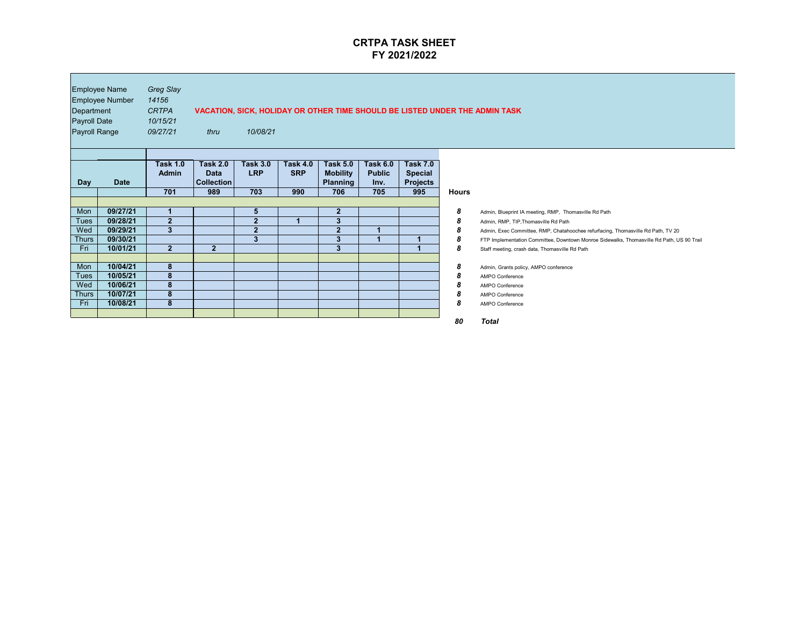| Department<br><b>Payroll Date</b><br><b>Payroll Range</b> | <b>Employee Name</b><br><b>Employee Number</b> | <b>Greg Slay</b><br>14156<br><b>CRTPA</b><br>10/15/21<br>09/27/21 | thru                                                       | 10/08/21                             |                                      |                                                              |                                                 |                                                             |                  | VACATION, SICK, HOLIDAY OR OTHER TIME SHOULD BE LISTED UNDER THE ADMIN TASK                                                                |
|-----------------------------------------------------------|------------------------------------------------|-------------------------------------------------------------------|------------------------------------------------------------|--------------------------------------|--------------------------------------|--------------------------------------------------------------|-------------------------------------------------|-------------------------------------------------------------|------------------|--------------------------------------------------------------------------------------------------------------------------------------------|
| <b>Day</b>                                                | <b>Date</b>                                    | <b>Task 1.0</b><br><b>Admin</b><br>701                            | <b>Task 2.0</b><br><b>Data</b><br><b>Collection</b><br>989 | <b>Task 3.0</b><br><b>LRP</b><br>703 | <b>Task 4.0</b><br><b>SRP</b><br>990 | <b>Task 5.0</b><br><b>Mobility</b><br><b>Planning</b><br>706 | <b>Task 6.0</b><br><b>Public</b><br>Inv.<br>705 | <b>Task 7.0</b><br><b>Special</b><br><b>Projects</b><br>995 | <b>Hours</b>     |                                                                                                                                            |
|                                                           |                                                |                                                                   |                                                            |                                      |                                      |                                                              |                                                 |                                                             |                  |                                                                                                                                            |
| Mon                                                       | 09/27/21                                       |                                                                   |                                                            | 5 <sup>5</sup>                       |                                      | $\mathbf{2}$                                                 |                                                 |                                                             | 8                | Admin, Blueprint IA meeting, RMP, Thomasville Rd Path                                                                                      |
| <b>Tues</b>                                               | 09/28/21                                       | $\overline{2}$                                                    |                                                            | $\overline{2}$                       |                                      | $\overline{3}$                                               |                                                 |                                                             | 8                | Admin, RMP, TIP, Thomasville Rd Path                                                                                                       |
| Wed                                                       | 09/29/21                                       | 3 <sup>5</sup>                                                    |                                                            | 2 <sub>2</sub>                       |                                      | $\overline{2}$                                               |                                                 |                                                             | 8                | Admin, Exec Committee, RMP, Chatahoochee refurfacing, Thomasville Rd Path, TV 20                                                           |
| <b>Thurs</b><br>Fri                                       | 09/30/21<br>10/01/21                           | 2 <sup>1</sup>                                                    | 2 <sup>1</sup>                                             | 3                                    |                                      | 3<br>3                                                       |                                                 |                                                             | 8<br>8           | FTP Implementation Committee, Downtown Monroe Sidewalks, Thomasville Rd Path, US 90 Trai<br>Staff meeting, crash data, Thomasville Rd Path |
| Mon                                                       | 10/04/21                                       | 8                                                                 |                                                            |                                      |                                      |                                                              |                                                 |                                                             | $\boldsymbol{8}$ | Admin, Grants policy, AMPO conference                                                                                                      |
| <b>Tues</b>                                               | 10/05/21                                       | 8                                                                 |                                                            |                                      |                                      |                                                              |                                                 |                                                             | 8                | <b>AMPO Conference</b>                                                                                                                     |
| Wed                                                       | 10/06/21                                       | 8                                                                 |                                                            |                                      |                                      |                                                              |                                                 |                                                             | 8                | <b>AMPO Conference</b>                                                                                                                     |
| <b>Thurs</b>                                              | 10/07/21                                       | 8                                                                 |                                                            |                                      |                                      |                                                              |                                                 |                                                             | 8                | <b>AMPO Conference</b>                                                                                                                     |
| Fri                                                       | 10/08/21                                       | $\overline{\mathbf{8}}$                                           |                                                            |                                      |                                      |                                                              |                                                 |                                                             | 8                | <b>AMPO Conference</b>                                                                                                                     |
|                                                           |                                                |                                                                   |                                                            |                                      |                                      |                                                              |                                                 |                                                             |                  |                                                                                                                                            |

 $\blacksquare$ 

*80 Total*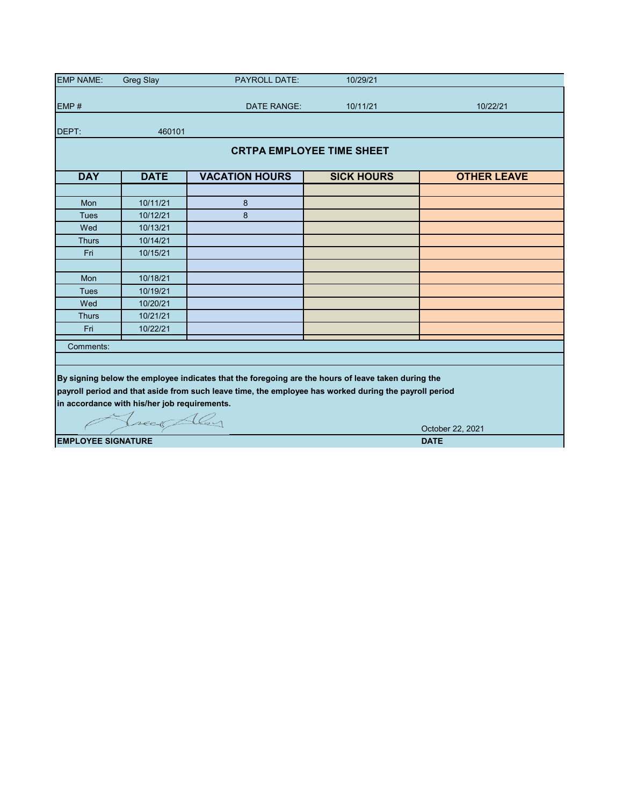| <b>EMP NAME:</b>                         | <b>Greg Slay</b>                             | <b>PAYROLL DATE:</b>                                                                                  | 10/29/21          |                    |  |  |  |  |  |  |  |
|------------------------------------------|----------------------------------------------|-------------------------------------------------------------------------------------------------------|-------------------|--------------------|--|--|--|--|--|--|--|
|                                          |                                              |                                                                                                       |                   |                    |  |  |  |  |  |  |  |
| EMP#                                     |                                              | <b>DATE RANGE:</b>                                                                                    | 10/11/21          | 10/22/21           |  |  |  |  |  |  |  |
| DEPT:                                    | 460101                                       |                                                                                                       |                   |                    |  |  |  |  |  |  |  |
|                                          | <b>CRTPA EMPLOYEE TIME SHEET</b>             |                                                                                                       |                   |                    |  |  |  |  |  |  |  |
| <b>DAY</b>                               | <b>DATE</b>                                  | <b>VACATION HOURS</b>                                                                                 | <b>SICK HOURS</b> | <b>OTHER LEAVE</b> |  |  |  |  |  |  |  |
|                                          |                                              |                                                                                                       |                   |                    |  |  |  |  |  |  |  |
| <b>Mon</b>                               | 10/11/21                                     | 8                                                                                                     |                   |                    |  |  |  |  |  |  |  |
| <b>Tues</b>                              | 10/12/21                                     | 8                                                                                                     |                   |                    |  |  |  |  |  |  |  |
| Wed                                      | 10/13/21                                     |                                                                                                       |                   |                    |  |  |  |  |  |  |  |
| <b>Thurs</b>                             | 10/14/21                                     |                                                                                                       |                   |                    |  |  |  |  |  |  |  |
| Fri                                      | 10/15/21                                     |                                                                                                       |                   |                    |  |  |  |  |  |  |  |
|                                          |                                              |                                                                                                       |                   |                    |  |  |  |  |  |  |  |
| Mon                                      | 10/18/21                                     |                                                                                                       |                   |                    |  |  |  |  |  |  |  |
| <b>Tues</b>                              | 10/19/21                                     |                                                                                                       |                   |                    |  |  |  |  |  |  |  |
| Wed                                      | 10/20/21                                     |                                                                                                       |                   |                    |  |  |  |  |  |  |  |
| <b>Thurs</b>                             | 10/21/21                                     |                                                                                                       |                   |                    |  |  |  |  |  |  |  |
| Fri                                      | 10/22/21                                     |                                                                                                       |                   |                    |  |  |  |  |  |  |  |
| Comments:                                |                                              |                                                                                                       |                   |                    |  |  |  |  |  |  |  |
|                                          |                                              |                                                                                                       |                   |                    |  |  |  |  |  |  |  |
|                                          |                                              | By signing below the employee indicates that the foregoing are the hours of leave taken during the    |                   |                    |  |  |  |  |  |  |  |
|                                          |                                              | payroll period and that aside from such leave time, the employee has worked during the payroll period |                   |                    |  |  |  |  |  |  |  |
|                                          |                                              |                                                                                                       |                   |                    |  |  |  |  |  |  |  |
|                                          | in accordance with his/her job requirements. |                                                                                                       |                   |                    |  |  |  |  |  |  |  |
|                                          | Treas Aley                                   |                                                                                                       |                   |                    |  |  |  |  |  |  |  |
|                                          |                                              |                                                                                                       |                   | October 22, 2021   |  |  |  |  |  |  |  |
| <b>EMPLOYEE SIGNATURE</b><br><b>DATE</b> |                                              |                                                                                                       |                   |                    |  |  |  |  |  |  |  |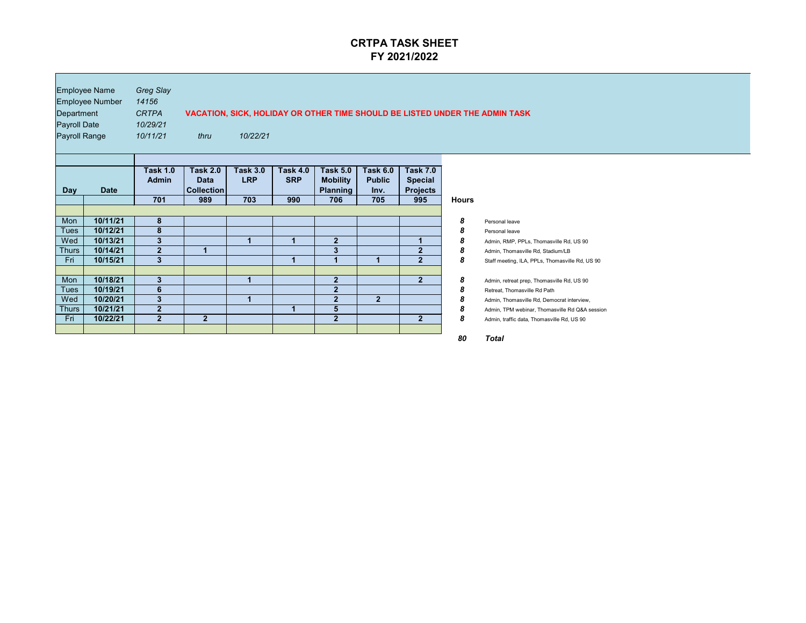| <b>Employee Name</b><br><b>Employee Number</b><br>Department<br><b>Payroll Date</b><br><b>Payroll Range</b> |                                  | <b>Greg Slay</b><br>14156<br><b>VACATION, SICK, HOLIDAY OR OTHER TIME SHOULD BE LISTED UNDER THE ADMIN TASK</b><br><b>CRTPA</b><br>10/29/21<br>10/11/21<br>10/22/21<br>thru |                                                     |                                      |                                      |                                                              |                                                 |                                                             |              |                                                                                                                          |
|-------------------------------------------------------------------------------------------------------------|----------------------------------|-----------------------------------------------------------------------------------------------------------------------------------------------------------------------------|-----------------------------------------------------|--------------------------------------|--------------------------------------|--------------------------------------------------------------|-------------------------------------------------|-------------------------------------------------------------|--------------|--------------------------------------------------------------------------------------------------------------------------|
| <b>Day</b>                                                                                                  | <b>Date</b>                      | <b>Task 1.0</b><br><b>Admin</b><br>701                                                                                                                                      | <b>Task 2.0</b><br><b>Data</b><br>Collection<br>989 | <b>Task 3.0</b><br><b>LRP</b><br>703 | <b>Task 4.0</b><br><b>SRP</b><br>990 | <b>Task 5.0</b><br><b>Mobility</b><br><b>Planning</b><br>706 | <b>Task 6.0</b><br><b>Public</b><br>Inv.<br>705 | <b>Task 7.0</b><br><b>Special</b><br><b>Projects</b><br>995 | <b>Hours</b> |                                                                                                                          |
| Mon                                                                                                         | 10/11/21                         | 8                                                                                                                                                                           |                                                     |                                      |                                      |                                                              |                                                 |                                                             | 8            | Personal leave                                                                                                           |
| <b>Tues</b><br>Wed<br><b>Thurs</b>                                                                          | 10/12/21<br>10/13/21<br>10/14/21 | 8<br>$\boldsymbol{3}$<br>$\overline{2}$                                                                                                                                     |                                                     | $\blacktriangleleft$                 | 1                                    | $\mathbf{2}$<br>$\overline{\mathbf{3}}$                      |                                                 | $\overline{2}$                                              | 8<br>8<br>8  | Personal leave<br>Admin, RMP, PPLs, Thomasville Rd, US 90<br>Admin, Thomasville Rd, Stadium/LB                           |
| Fri                                                                                                         | 10/15/21                         | $\overline{\mathbf{3}}$                                                                                                                                                     |                                                     |                                      | 1                                    |                                                              |                                                 | $\overline{2}$                                              | 8            | Staff meeting, ILA, PPLs, Thomasville Rd, US 90                                                                          |
| Mon<br><b>Tues</b><br>Wed                                                                                   | 10/18/21<br>10/19/21<br>10/20/21 | $\mathbf{3}$<br>6<br>3                                                                                                                                                      |                                                     | $\overline{\mathbf{1}}$              |                                      | $\overline{2}$<br>$\overline{2}$<br>2                        | $\mathbf{2}$                                    | $\overline{2}$                                              | 8<br>8<br>8  | Admin, retreat prep, Thomasville Rd, US 90<br>Retreat, Thomasville Rd Path<br>Admin, Thomasville Rd, Democrat interview, |
| <b>Thurs</b><br>Fri                                                                                         | 10/21/21<br>10/22/21             | $\overline{2}$<br>2 <sub>1</sub>                                                                                                                                            | 2 <sup>1</sup>                                      |                                      |                                      | 5<br>$\overline{2}$                                          |                                                 | 2 <sup>1</sup>                                              | 8<br>8       | Admin, TPM webinar, Thomasville Rd Q&A session<br>Admin, traffic data, Thomasville Rd, US 90                             |

## **JNDER THE ADMIN TASK**

| <b>Hours</b> |                                                 |
|--------------|-------------------------------------------------|
| 8            | Personal leave                                  |
| 8            | Personal leave                                  |
| 8            | Admin, RMP, PPLs, Thomasville Rd, US 90         |
| 8            | Admin, Thomasville Rd, Stadium/LB               |
| 8            | Staff meeting, ILA, PPLs, Thomasville Rd, US 90 |
| 8            | Admin, retreat prep, Thomasville Rd, US 90      |
| 8            | Retreat, Thomasville Rd Path                    |
| 8            | Admin, Thomasville Rd, Democrat interview,      |
| 8            | Admin, TPM webinar, Thomasville Rd Q&A session  |
| 8            | Admin, traffic data, Thomasville Rd, US 90      |
| 80           | Total                                           |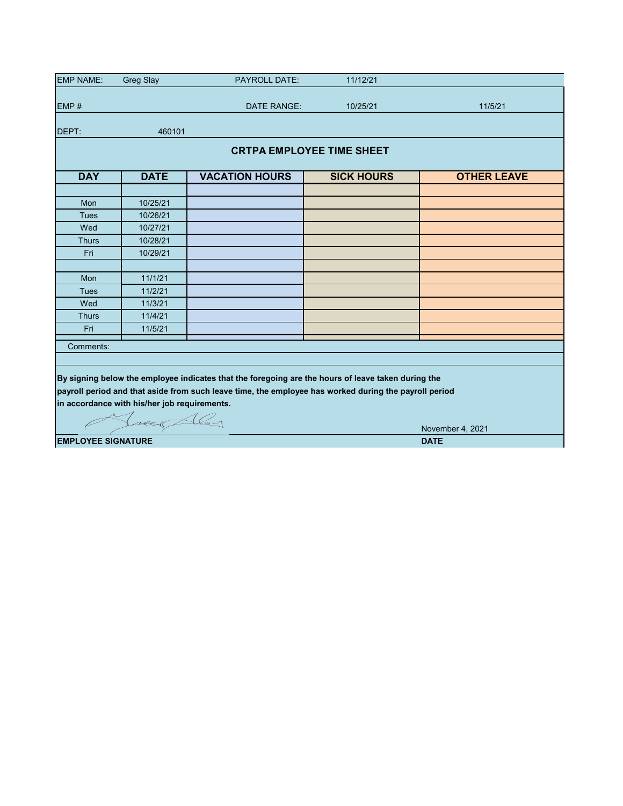| <b>EMP NAME:</b>                         | <b>Greg Slay</b>                             | <b>PAYROLL DATE:</b>                                                                                  | 11/12/21          |                    |  |  |  |  |  |  |  |
|------------------------------------------|----------------------------------------------|-------------------------------------------------------------------------------------------------------|-------------------|--------------------|--|--|--|--|--|--|--|
|                                          |                                              |                                                                                                       |                   |                    |  |  |  |  |  |  |  |
| EMP#                                     |                                              | <b>DATE RANGE:</b>                                                                                    | 10/25/21          | 11/5/21            |  |  |  |  |  |  |  |
| DEPT:                                    | 460101                                       |                                                                                                       |                   |                    |  |  |  |  |  |  |  |
|                                          | <b>CRTPA EMPLOYEE TIME SHEET</b>             |                                                                                                       |                   |                    |  |  |  |  |  |  |  |
| <b>DAY</b>                               | <b>DATE</b>                                  | <b>VACATION HOURS</b>                                                                                 | <b>SICK HOURS</b> | <b>OTHER LEAVE</b> |  |  |  |  |  |  |  |
|                                          |                                              |                                                                                                       |                   |                    |  |  |  |  |  |  |  |
| <b>Mon</b>                               | 10/25/21                                     |                                                                                                       |                   |                    |  |  |  |  |  |  |  |
| <b>Tues</b>                              | 10/26/21                                     |                                                                                                       |                   |                    |  |  |  |  |  |  |  |
| Wed                                      | 10/27/21                                     |                                                                                                       |                   |                    |  |  |  |  |  |  |  |
| <b>Thurs</b>                             | 10/28/21                                     |                                                                                                       |                   |                    |  |  |  |  |  |  |  |
| Fri                                      | 10/29/21                                     |                                                                                                       |                   |                    |  |  |  |  |  |  |  |
|                                          |                                              |                                                                                                       |                   |                    |  |  |  |  |  |  |  |
| Mon                                      | 11/1/21                                      |                                                                                                       |                   |                    |  |  |  |  |  |  |  |
| <b>Tues</b>                              | 11/2/21                                      |                                                                                                       |                   |                    |  |  |  |  |  |  |  |
| Wed                                      | 11/3/21                                      |                                                                                                       |                   |                    |  |  |  |  |  |  |  |
| <b>Thurs</b>                             | 11/4/21                                      |                                                                                                       |                   |                    |  |  |  |  |  |  |  |
| Fri                                      | 11/5/21                                      |                                                                                                       |                   |                    |  |  |  |  |  |  |  |
| Comments:                                |                                              |                                                                                                       |                   |                    |  |  |  |  |  |  |  |
|                                          |                                              |                                                                                                       |                   |                    |  |  |  |  |  |  |  |
|                                          |                                              | By signing below the employee indicates that the foregoing are the hours of leave taken during the    |                   |                    |  |  |  |  |  |  |  |
|                                          |                                              | payroll period and that aside from such leave time, the employee has worked during the payroll period |                   |                    |  |  |  |  |  |  |  |
|                                          | in accordance with his/her job requirements. |                                                                                                       |                   |                    |  |  |  |  |  |  |  |
|                                          |                                              |                                                                                                       |                   |                    |  |  |  |  |  |  |  |
|                                          | Treas Aley                                   |                                                                                                       |                   | November 4, 2021   |  |  |  |  |  |  |  |
|                                          |                                              |                                                                                                       |                   |                    |  |  |  |  |  |  |  |
| <b>EMPLOYEE SIGNATURE</b><br><b>DATE</b> |                                              |                                                                                                       |                   |                    |  |  |  |  |  |  |  |